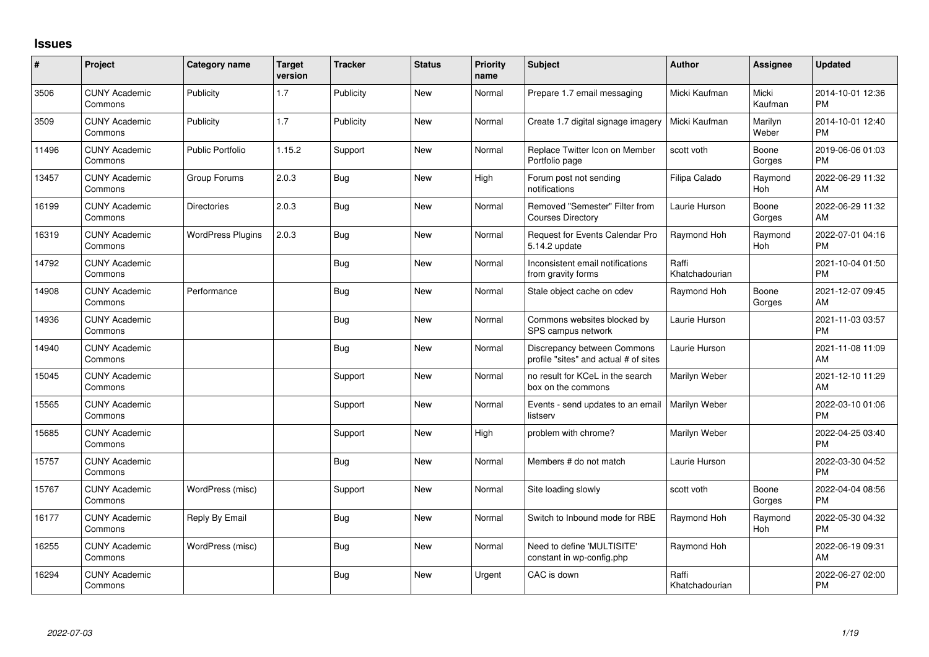## **Issues**

| #     | Project                         | <b>Category name</b>     | <b>Target</b><br>version | <b>Tracker</b> | <b>Status</b> | Priority<br>name | Subject                                                              | <b>Author</b>           | <b>Assignee</b>  | <b>Updated</b>                |
|-------|---------------------------------|--------------------------|--------------------------|----------------|---------------|------------------|----------------------------------------------------------------------|-------------------------|------------------|-------------------------------|
| 3506  | <b>CUNY Academic</b><br>Commons | Publicity                | 1.7                      | Publicity      | <b>New</b>    | Normal           | Prepare 1.7 email messaging                                          | Micki Kaufman           | Micki<br>Kaufman | 2014-10-01 12:36<br><b>PM</b> |
| 3509  | <b>CUNY Academic</b><br>Commons | Publicity                | 1.7                      | Publicity      | New           | Normal           | Create 1.7 digital signage imagery                                   | Micki Kaufman           | Marilyn<br>Weber | 2014-10-01 12:40<br><b>PM</b> |
| 11496 | <b>CUNY Academic</b><br>Commons | <b>Public Portfolio</b>  | 1.15.2                   | Support        | New           | Normal           | Replace Twitter Icon on Member<br>Portfolio page                     | scott voth              | Boone<br>Gorges  | 2019-06-06 01:03<br><b>PM</b> |
| 13457 | <b>CUNY Academic</b><br>Commons | Group Forums             | 2.0.3                    | <b>Bug</b>     | <b>New</b>    | High             | Forum post not sending<br>notifications                              | Filipa Calado           | Raymond<br>Hoh   | 2022-06-29 11:32<br>AM        |
| 16199 | <b>CUNY Academic</b><br>Commons | <b>Directories</b>       | 2.0.3                    | Bug            | <b>New</b>    | Normal           | Removed "Semester" Filter from<br><b>Courses Directory</b>           | Laurie Hurson           | Boone<br>Gorges  | 2022-06-29 11:32<br>AM        |
| 16319 | <b>CUNY Academic</b><br>Commons | <b>WordPress Plugins</b> | 2.0.3                    | Bug            | New           | Normal           | Request for Events Calendar Pro<br>5.14.2 update                     | Raymond Hoh             | Raymond<br>Hoh   | 2022-07-01 04:16<br><b>PM</b> |
| 14792 | <b>CUNY Academic</b><br>Commons |                          |                          | Bug            | New           | Normal           | Inconsistent email notifications<br>from gravity forms               | Raffi<br>Khatchadourian |                  | 2021-10-04 01:50<br><b>PM</b> |
| 14908 | <b>CUNY Academic</b><br>Commons | Performance              |                          | <b>Bug</b>     | New           | Normal           | Stale object cache on cdev                                           | Raymond Hoh             | Boone<br>Gorges  | 2021-12-07 09:45<br>AM        |
| 14936 | <b>CUNY Academic</b><br>Commons |                          |                          | Bug            | <b>New</b>    | Normal           | Commons websites blocked by<br>SPS campus network                    | Laurie Hurson           |                  | 2021-11-03 03:57<br><b>PM</b> |
| 14940 | <b>CUNY Academic</b><br>Commons |                          |                          | Bug            | <b>New</b>    | Normal           | Discrepancy between Commons<br>profile "sites" and actual # of sites | Laurie Hurson           |                  | 2021-11-08 11:09<br>AM        |
| 15045 | <b>CUNY Academic</b><br>Commons |                          |                          | Support        | <b>New</b>    | Normal           | no result for KCeL in the search<br>box on the commons               | Marilyn Weber           |                  | 2021-12-10 11:29<br>AM        |
| 15565 | <b>CUNY Academic</b><br>Commons |                          |                          | Support        | <b>New</b>    | Normal           | Events - send updates to an email<br>listserv                        | Marilyn Weber           |                  | 2022-03-10 01:06<br><b>PM</b> |
| 15685 | <b>CUNY Academic</b><br>Commons |                          |                          | Support        | <b>New</b>    | High             | problem with chrome?                                                 | Marilyn Weber           |                  | 2022-04-25 03:40<br><b>PM</b> |
| 15757 | <b>CUNY Academic</b><br>Commons |                          |                          | Bug            | <b>New</b>    | Normal           | Members # do not match                                               | Laurie Hurson           |                  | 2022-03-30 04:52<br><b>PM</b> |
| 15767 | <b>CUNY Academic</b><br>Commons | WordPress (misc)         |                          | Support        | <b>New</b>    | Normal           | Site loading slowly                                                  | scott voth              | Boone<br>Gorges  | 2022-04-04 08:56<br><b>PM</b> |
| 16177 | <b>CUNY Academic</b><br>Commons | Reply By Email           |                          | Bug            | <b>New</b>    | Normal           | Switch to Inbound mode for RBE                                       | Raymond Hoh             | Raymond<br>Hoh   | 2022-05-30 04:32<br><b>PM</b> |
| 16255 | <b>CUNY Academic</b><br>Commons | WordPress (misc)         |                          | Bug            | <b>New</b>    | Normal           | Need to define 'MULTISITE'<br>constant in wp-config.php              | Raymond Hoh             |                  | 2022-06-19 09:31<br>AM        |
| 16294 | <b>CUNY Academic</b><br>Commons |                          |                          | Bug            | <b>New</b>    | Urgent           | CAC is down                                                          | Raffi<br>Khatchadourian |                  | 2022-06-27 02:00<br><b>PM</b> |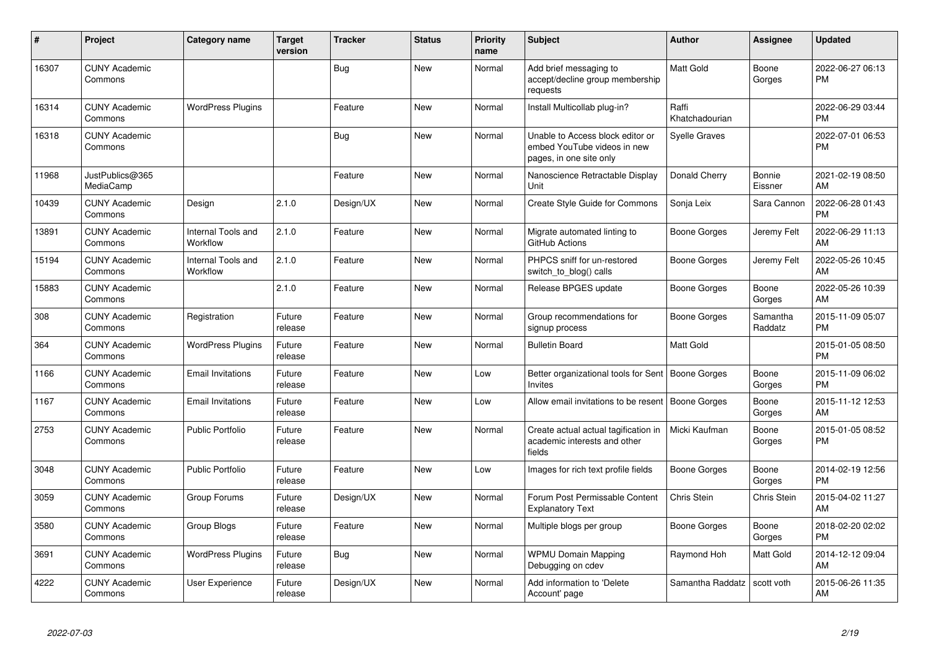| #     | Project                         | <b>Category name</b>           | <b>Target</b><br>version | <b>Tracker</b> | <b>Status</b> | <b>Priority</b><br>name | <b>Subject</b>                                                                             | <b>Author</b>           | Assignee            | <b>Updated</b>                |
|-------|---------------------------------|--------------------------------|--------------------------|----------------|---------------|-------------------------|--------------------------------------------------------------------------------------------|-------------------------|---------------------|-------------------------------|
| 16307 | <b>CUNY Academic</b><br>Commons |                                |                          | <b>Bug</b>     | <b>New</b>    | Normal                  | Add brief messaging to<br>accept/decline group membership<br>requests                      | Matt Gold               | Boone<br>Gorges     | 2022-06-27 06:13<br><b>PM</b> |
| 16314 | <b>CUNY Academic</b><br>Commons | <b>WordPress Plugins</b>       |                          | Feature        | <b>New</b>    | Normal                  | Install Multicollab plug-in?                                                               | Raffi<br>Khatchadourian |                     | 2022-06-29 03:44<br><b>PM</b> |
| 16318 | <b>CUNY Academic</b><br>Commons |                                |                          | Bug            | New           | Normal                  | Unable to Access block editor or<br>embed YouTube videos in new<br>pages, in one site only | Syelle Graves           |                     | 2022-07-01 06:53<br><b>PM</b> |
| 11968 | JustPublics@365<br>MediaCamp    |                                |                          | Feature        | <b>New</b>    | Normal                  | Nanoscience Retractable Display<br>Unit                                                    | Donald Cherry           | Bonnie<br>Eissner   | 2021-02-19 08:50<br>AM        |
| 10439 | <b>CUNY Academic</b><br>Commons | Design                         | 2.1.0                    | Design/UX      | New           | Normal                  | Create Style Guide for Commons                                                             | Sonja Leix              | Sara Cannon         | 2022-06-28 01:43<br><b>PM</b> |
| 13891 | <b>CUNY Academic</b><br>Commons | Internal Tools and<br>Workflow | 2.1.0                    | Feature        | <b>New</b>    | Normal                  | Migrate automated linting to<br>GitHub Actions                                             | Boone Gorges            | Jeremy Felt         | 2022-06-29 11:13<br>AM        |
| 15194 | <b>CUNY Academic</b><br>Commons | Internal Tools and<br>Workflow | 2.1.0                    | Feature        | <b>New</b>    | Normal                  | PHPCS sniff for un-restored<br>switch to blog() calls                                      | Boone Gorges            | Jeremy Felt         | 2022-05-26 10:45<br>AM        |
| 15883 | <b>CUNY Academic</b><br>Commons |                                | 2.1.0                    | Feature        | <b>New</b>    | Normal                  | Release BPGES update                                                                       | Boone Gorges            | Boone<br>Gorges     | 2022-05-26 10:39<br>AM        |
| 308   | <b>CUNY Academic</b><br>Commons | Registration                   | Future<br>release        | Feature        | <b>New</b>    | Normal                  | Group recommendations for<br>signup process                                                | Boone Gorges            | Samantha<br>Raddatz | 2015-11-09 05:07<br><b>PM</b> |
| 364   | <b>CUNY Academic</b><br>Commons | <b>WordPress Plugins</b>       | Future<br>release        | Feature        | <b>New</b>    | Normal                  | <b>Bulletin Board</b>                                                                      | Matt Gold               |                     | 2015-01-05 08:50<br><b>PM</b> |
| 1166  | <b>CUNY Academic</b><br>Commons | <b>Email Invitations</b>       | Future<br>release        | Feature        | <b>New</b>    | Low                     | Better organizational tools for Sent   Boone Gorges<br>Invites                             |                         | Boone<br>Gorges     | 2015-11-09 06:02<br><b>PM</b> |
| 1167  | <b>CUNY Academic</b><br>Commons | <b>Email Invitations</b>       | Future<br>release        | Feature        | <b>New</b>    | Low                     | Allow email invitations to be resent                                                       | <b>Boone Gorges</b>     | Boone<br>Gorges     | 2015-11-12 12:53<br>AM        |
| 2753  | <b>CUNY Academic</b><br>Commons | <b>Public Portfolio</b>        | Future<br>release        | Feature        | <b>New</b>    | Normal                  | Create actual actual tagification in<br>academic interests and other<br>fields             | Micki Kaufman           | Boone<br>Gorges     | 2015-01-05 08:52<br><b>PM</b> |
| 3048  | <b>CUNY Academic</b><br>Commons | Public Portfolio               | Future<br>release        | Feature        | <b>New</b>    | Low                     | Images for rich text profile fields                                                        | Boone Gorges            | Boone<br>Gorges     | 2014-02-19 12:56<br><b>PM</b> |
| 3059  | <b>CUNY Academic</b><br>Commons | Group Forums                   | Future<br>release        | Design/UX      | <b>New</b>    | Normal                  | Forum Post Permissable Content<br><b>Explanatory Text</b>                                  | Chris Stein             | Chris Stein         | 2015-04-02 11:27<br>AM        |
| 3580  | <b>CUNY Academic</b><br>Commons | Group Blogs                    | Future<br>release        | Feature        | <b>New</b>    | Normal                  | Multiple blogs per group                                                                   | Boone Gorges            | Boone<br>Gorges     | 2018-02-20 02:02<br><b>PM</b> |
| 3691  | <b>CUNY Academic</b><br>Commons | <b>WordPress Plugins</b>       | Future<br>release        | Bug            | <b>New</b>    | Normal                  | <b>WPMU Domain Mapping</b><br>Debugging on cdev                                            | Raymond Hoh             | Matt Gold           | 2014-12-12 09:04<br>AM        |
| 4222  | <b>CUNY Academic</b><br>Commons | <b>User Experience</b>         | Future<br>release        | Design/UX      | <b>New</b>    | Normal                  | Add information to 'Delete<br>Account' page                                                | Samantha Raddatz        | scott voth          | 2015-06-26 11:35<br>AM        |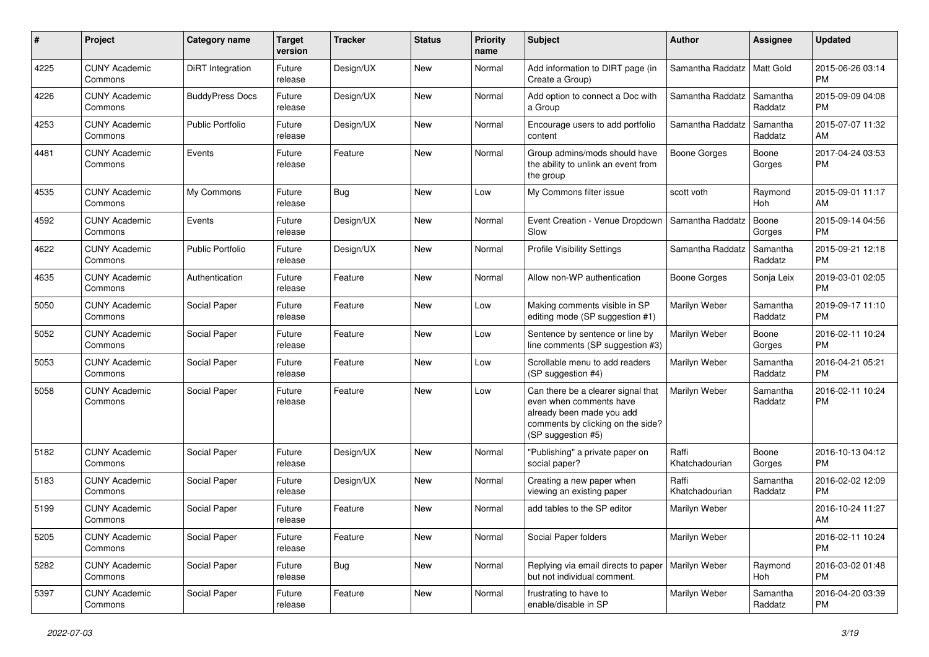| #    | Project                         | Category name           | <b>Target</b><br>version | Tracker    | <b>Status</b> | <b>Priority</b><br>name | <b>Subject</b>                                                                                                                                        | Author                  | <b>Assignee</b>     | <b>Updated</b>                |
|------|---------------------------------|-------------------------|--------------------------|------------|---------------|-------------------------|-------------------------------------------------------------------------------------------------------------------------------------------------------|-------------------------|---------------------|-------------------------------|
| 4225 | <b>CUNY Academic</b><br>Commons | DiRT Integration        | Future<br>release        | Design/UX  | <b>New</b>    | Normal                  | Add information to DIRT page (in<br>Create a Group)                                                                                                   | Samantha Raddatz        | Matt Gold           | 2015-06-26 03:14<br><b>PM</b> |
| 4226 | <b>CUNY Academic</b><br>Commons | <b>BuddyPress Docs</b>  | Future<br>release        | Design/UX  | New           | Normal                  | Add option to connect a Doc with<br>a Group                                                                                                           | Samantha Raddatz        | Samantha<br>Raddatz | 2015-09-09 04:08<br><b>PM</b> |
| 4253 | <b>CUNY Academic</b><br>Commons | <b>Public Portfolio</b> | Future<br>release        | Design/UX  | <b>New</b>    | Normal                  | Encourage users to add portfolio<br>content                                                                                                           | Samantha Raddatz        | Samantha<br>Raddatz | 2015-07-07 11:32<br>AM        |
| 4481 | <b>CUNY Academic</b><br>Commons | Events                  | Future<br>release        | Feature    | New           | Normal                  | Group admins/mods should have<br>the ability to unlink an event from<br>the group                                                                     | Boone Gorges            | Boone<br>Gorges     | 2017-04-24 03:53<br>PM        |
| 4535 | <b>CUNY Academic</b><br>Commons | My Commons              | Future<br>release        | Bug        | <b>New</b>    | Low                     | My Commons filter issue                                                                                                                               | scott voth              | Raymond<br>Hoh      | 2015-09-01 11:17<br>AM        |
| 4592 | <b>CUNY Academic</b><br>Commons | Events                  | Future<br>release        | Design/UX  | <b>New</b>    | Normal                  | Event Creation - Venue Dropdown<br>Slow                                                                                                               | Samantha Raddatz        | Boone<br>Gorges     | 2015-09-14 04:56<br><b>PM</b> |
| 4622 | <b>CUNY Academic</b><br>Commons | <b>Public Portfolio</b> | Future<br>release        | Design/UX  | <b>New</b>    | Normal                  | <b>Profile Visibility Settings</b>                                                                                                                    | Samantha Raddatz        | Samantha<br>Raddatz | 2015-09-21 12:18<br><b>PM</b> |
| 4635 | <b>CUNY Academic</b><br>Commons | Authentication          | Future<br>release        | Feature    | <b>New</b>    | Normal                  | Allow non-WP authentication                                                                                                                           | <b>Boone Gorges</b>     | Sonja Leix          | 2019-03-01 02:05<br><b>PM</b> |
| 5050 | <b>CUNY Academic</b><br>Commons | Social Paper            | Future<br>release        | Feature    | New           | Low                     | Making comments visible in SP<br>editing mode (SP suggestion #1)                                                                                      | Marilyn Weber           | Samantha<br>Raddatz | 2019-09-17 11:10<br><b>PM</b> |
| 5052 | <b>CUNY Academic</b><br>Commons | Social Paper            | Future<br>release        | Feature    | New           | Low                     | Sentence by sentence or line by<br>line comments (SP suggestion #3)                                                                                   | Marilyn Weber           | Boone<br>Gorges     | 2016-02-11 10:24<br><b>PM</b> |
| 5053 | <b>CUNY Academic</b><br>Commons | Social Paper            | Future<br>release        | Feature    | <b>New</b>    | Low                     | Scrollable menu to add readers<br>(SP suggestion #4)                                                                                                  | Marilyn Weber           | Samantha<br>Raddatz | 2016-04-21 05:21<br><b>PM</b> |
| 5058 | <b>CUNY Academic</b><br>Commons | Social Paper            | Future<br>release        | Feature    | <b>New</b>    | Low                     | Can there be a clearer signal that<br>even when comments have<br>already been made you add<br>comments by clicking on the side?<br>(SP suggestion #5) | Marilyn Weber           | Samantha<br>Raddatz | 2016-02-11 10:24<br><b>PM</b> |
| 5182 | <b>CUNY Academic</b><br>Commons | Social Paper            | Future<br>release        | Design/UX  | <b>New</b>    | Normal                  | "Publishing" a private paper on<br>social paper?                                                                                                      | Raffi<br>Khatchadourian | Boone<br>Gorges     | 2016-10-13 04:12<br><b>PM</b> |
| 5183 | <b>CUNY Academic</b><br>Commons | Social Paper            | Future<br>release        | Design/UX  | <b>New</b>    | Normal                  | Creating a new paper when<br>viewing an existing paper                                                                                                | Raffi<br>Khatchadourian | Samantha<br>Raddatz | 2016-02-02 12:09<br><b>PM</b> |
| 5199 | <b>CUNY Academic</b><br>Commons | Social Paper            | Future<br>release        | Feature    | <b>New</b>    | Normal                  | add tables to the SP editor                                                                                                                           | Marilyn Weber           |                     | 2016-10-24 11:27<br>AM        |
| 5205 | <b>CUNY Academic</b><br>Commons | Social Paper            | Future<br>release        | Feature    | New           | Normal                  | Social Paper folders                                                                                                                                  | Marilyn Weber           |                     | 2016-02-11 10:24<br>PM.       |
| 5282 | <b>CUNY Academic</b><br>Commons | Social Paper            | Future<br>release        | <b>Bug</b> | New           | Normal                  | Replying via email directs to paper   Marilyn Weber<br>but not individual comment.                                                                    |                         | Raymond<br>Hoh      | 2016-03-02 01:48<br><b>PM</b> |
| 5397 | <b>CUNY Academic</b><br>Commons | Social Paper            | Future<br>release        | Feature    | New           | Normal                  | frustrating to have to<br>enable/disable in SP                                                                                                        | Marilyn Weber           | Samantha<br>Raddatz | 2016-04-20 03:39<br><b>PM</b> |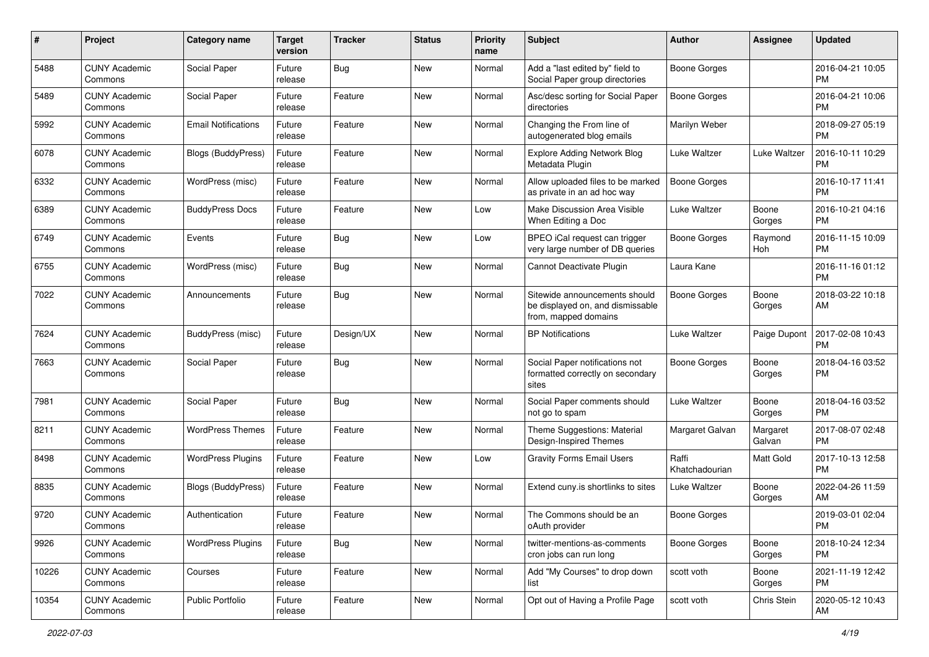| #     | Project                         | <b>Category name</b>       | <b>Target</b><br>version | <b>Tracker</b> | <b>Status</b> | <b>Priority</b><br>name | Subject                                                                                   | Author                  | <b>Assignee</b>    | <b>Updated</b>                |
|-------|---------------------------------|----------------------------|--------------------------|----------------|---------------|-------------------------|-------------------------------------------------------------------------------------------|-------------------------|--------------------|-------------------------------|
| 5488  | <b>CUNY Academic</b><br>Commons | Social Paper               | Future<br>release        | Bug            | <b>New</b>    | Normal                  | Add a "last edited by" field to<br>Social Paper group directories                         | <b>Boone Gorges</b>     |                    | 2016-04-21 10:05<br><b>PM</b> |
| 5489  | <b>CUNY Academic</b><br>Commons | Social Paper               | Future<br>release        | Feature        | New           | Normal                  | Asc/desc sorting for Social Paper<br>directories                                          | <b>Boone Gorges</b>     |                    | 2016-04-21 10:06<br><b>PM</b> |
| 5992  | <b>CUNY Academic</b><br>Commons | <b>Email Notifications</b> | Future<br>release        | Feature        | New           | Normal                  | Changing the From line of<br>autogenerated blog emails                                    | Marilyn Weber           |                    | 2018-09-27 05:19<br><b>PM</b> |
| 6078  | <b>CUNY Academic</b><br>Commons | Blogs (BuddyPress)         | Future<br>release        | Feature        | New           | Normal                  | <b>Explore Adding Network Blog</b><br>Metadata Plugin                                     | Luke Waltzer            | Luke Waltzer       | 2016-10-11 10:29<br><b>PM</b> |
| 6332  | <b>CUNY Academic</b><br>Commons | WordPress (misc)           | Future<br>release        | Feature        | New           | Normal                  | Allow uploaded files to be marked<br>as private in an ad hoc way                          | Boone Gorges            |                    | 2016-10-17 11:41<br><b>PM</b> |
| 6389  | <b>CUNY Academic</b><br>Commons | <b>BuddyPress Docs</b>     | Future<br>release        | Feature        | New           | Low                     | Make Discussion Area Visible<br>When Editing a Doc                                        | Luke Waltzer            | Boone<br>Gorges    | 2016-10-21 04:16<br>PM.       |
| 6749  | <b>CUNY Academic</b><br>Commons | Events                     | Future<br>release        | Bug            | New           | Low                     | BPEO iCal request can trigger<br>very large number of DB queries                          | <b>Boone Gorges</b>     | Raymond<br>Hoh     | 2016-11-15 10:09<br>PM.       |
| 6755  | <b>CUNY Academic</b><br>Commons | WordPress (misc)           | Future<br>release        | Bug            | New           | Normal                  | Cannot Deactivate Plugin                                                                  | Laura Kane              |                    | 2016-11-16 01:12<br>PM.       |
| 7022  | <b>CUNY Academic</b><br>Commons | Announcements              | Future<br>release        | Bug            | New           | Normal                  | Sitewide announcements should<br>be displayed on, and dismissable<br>from, mapped domains | Boone Gorges            | Boone<br>Gorges    | 2018-03-22 10:18<br>AM        |
| 7624  | <b>CUNY Academic</b><br>Commons | BuddyPress (misc)          | Future<br>release        | Design/UX      | New           | Normal                  | <b>BP</b> Notifications                                                                   | Luke Waltzer            | Paige Dupont       | 2017-02-08 10:43<br><b>PM</b> |
| 7663  | <b>CUNY Academic</b><br>Commons | Social Paper               | Future<br>release        | Bug            | <b>New</b>    | Normal                  | Social Paper notifications not<br>formatted correctly on secondary<br>sites               | Boone Gorges            | Boone<br>Gorges    | 2018-04-16 03:52<br><b>PM</b> |
| 7981  | <b>CUNY Academic</b><br>Commons | Social Paper               | Future<br>release        | Bug            | New           | Normal                  | Social Paper comments should<br>not go to spam                                            | Luke Waltzer            | Boone<br>Gorges    | 2018-04-16 03:52<br>PM.       |
| 8211  | <b>CUNY Academic</b><br>Commons | <b>WordPress Themes</b>    | Future<br>release        | Feature        | <b>New</b>    | Normal                  | Theme Suggestions: Material<br>Design-Inspired Themes                                     | Margaret Galvan         | Margaret<br>Galvan | 2017-08-07 02:48<br>PM.       |
| 8498  | <b>CUNY Academic</b><br>Commons | <b>WordPress Plugins</b>   | Future<br>release        | Feature        | <b>New</b>    | Low                     | <b>Gravity Forms Email Users</b>                                                          | Raffi<br>Khatchadourian | Matt Gold          | 2017-10-13 12:58<br><b>PM</b> |
| 8835  | <b>CUNY Academic</b><br>Commons | <b>Blogs (BuddyPress)</b>  | Future<br>release        | Feature        | New           | Normal                  | Extend cuny.is shortlinks to sites                                                        | Luke Waltzer            | Boone<br>Gorges    | 2022-04-26 11:59<br>AM.       |
| 9720  | <b>CUNY Academic</b><br>Commons | Authentication             | Future<br>release        | Feature        | New           | Normal                  | The Commons should be an<br>oAuth provider                                                | Boone Gorges            |                    | 2019-03-01 02:04<br><b>PM</b> |
| 9926  | <b>CUNY Academic</b><br>Commons | <b>WordPress Plugins</b>   | Future<br>release        | <b>Bug</b>     | New           | Normal                  | twitter-mentions-as-comments<br>cron jobs can run long                                    | Boone Gorges            | Boone<br>Gorges    | 2018-10-24 12:34<br>PM.       |
| 10226 | <b>CUNY Academic</b><br>Commons | Courses                    | Future<br>release        | Feature        | New           | Normal                  | Add "My Courses" to drop down<br>list                                                     | scott voth              | Boone<br>Gorges    | 2021-11-19 12:42<br><b>PM</b> |
| 10354 | <b>CUNY Academic</b><br>Commons | Public Portfolio           | Future<br>release        | Feature        | New           | Normal                  | Opt out of Having a Profile Page                                                          | scott voth              | Chris Stein        | 2020-05-12 10:43<br>AM        |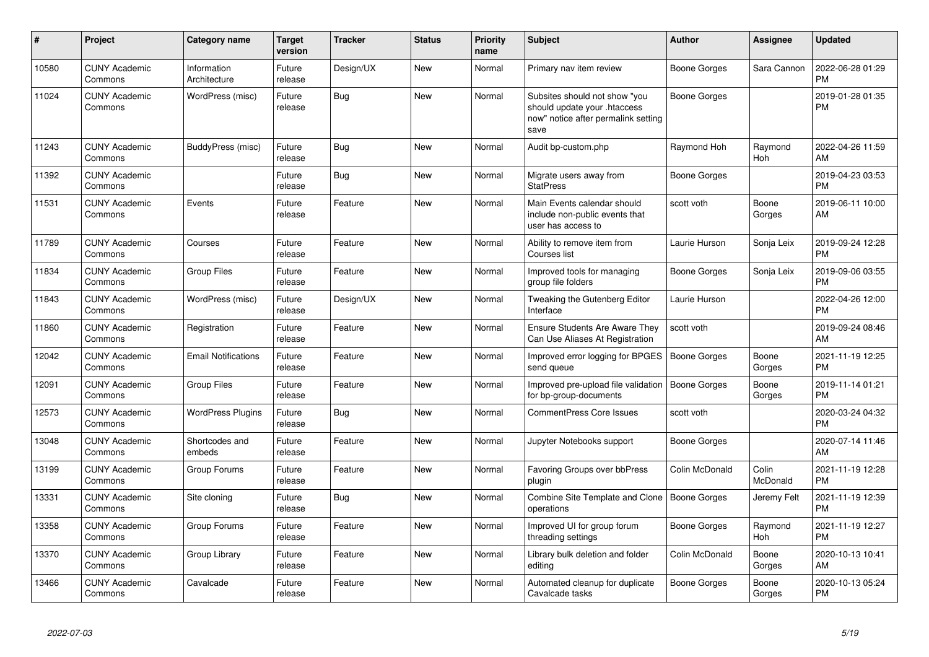| #     | <b>Project</b>                  | Category name               | <b>Target</b><br>version | <b>Tracker</b> | <b>Status</b> | <b>Priority</b><br>name | <b>Subject</b>                                                                                               | <b>Author</b>       | Assignee              | <b>Updated</b>                |
|-------|---------------------------------|-----------------------------|--------------------------|----------------|---------------|-------------------------|--------------------------------------------------------------------------------------------------------------|---------------------|-----------------------|-------------------------------|
| 10580 | <b>CUNY Academic</b><br>Commons | Information<br>Architecture | Future<br>release        | Design/UX      | <b>New</b>    | Normal                  | Primary nav item review                                                                                      | Boone Gorges        | Sara Cannon           | 2022-06-28 01:29<br><b>PM</b> |
| 11024 | <b>CUNY Academic</b><br>Commons | WordPress (misc)            | Future<br>release        | Bug            | <b>New</b>    | Normal                  | Subsites should not show "you<br>should update your .htaccess<br>now" notice after permalink setting<br>save | <b>Boone Gorges</b> |                       | 2019-01-28 01:35<br><b>PM</b> |
| 11243 | <b>CUNY Academic</b><br>Commons | BuddyPress (misc)           | Future<br>release        | Bug            | <b>New</b>    | Normal                  | Audit bp-custom.php                                                                                          | Raymond Hoh         | Raymond<br>Hoh        | 2022-04-26 11:59<br>AM        |
| 11392 | <b>CUNY Academic</b><br>Commons |                             | Future<br>release        | <b>Bug</b>     | <b>New</b>    | Normal                  | Migrate users away from<br><b>StatPress</b>                                                                  | Boone Gorges        |                       | 2019-04-23 03:53<br><b>PM</b> |
| 11531 | <b>CUNY Academic</b><br>Commons | Events                      | Future<br>release        | Feature        | <b>New</b>    | Normal                  | Main Events calendar should<br>include non-public events that<br>user has access to                          | scott voth          | Boone<br>Gorges       | 2019-06-11 10:00<br>AM        |
| 11789 | <b>CUNY Academic</b><br>Commons | Courses                     | Future<br>release        | Feature        | <b>New</b>    | Normal                  | Ability to remove item from<br>Courses list                                                                  | Laurie Hurson       | Sonja Leix            | 2019-09-24 12:28<br><b>PM</b> |
| 11834 | <b>CUNY Academic</b><br>Commons | <b>Group Files</b>          | Future<br>release        | Feature        | <b>New</b>    | Normal                  | Improved tools for managing<br>group file folders                                                            | Boone Gorges        | Sonja Leix            | 2019-09-06 03:55<br><b>PM</b> |
| 11843 | <b>CUNY Academic</b><br>Commons | WordPress (misc)            | Future<br>release        | Design/UX      | <b>New</b>    | Normal                  | Tweaking the Gutenberg Editor<br>Interface                                                                   | Laurie Hurson       |                       | 2022-04-26 12:00<br><b>PM</b> |
| 11860 | <b>CUNY Academic</b><br>Commons | Registration                | Future<br>release        | Feature        | <b>New</b>    | Normal                  | Ensure Students Are Aware They<br>Can Use Aliases At Registration                                            | scott voth          |                       | 2019-09-24 08:46<br>AM        |
| 12042 | <b>CUNY Academic</b><br>Commons | <b>Email Notifications</b>  | Future<br>release        | Feature        | <b>New</b>    | Normal                  | Improved error logging for BPGES<br>send queue                                                               | <b>Boone Gorges</b> | Boone<br>Gorges       | 2021-11-19 12:25<br><b>PM</b> |
| 12091 | <b>CUNY Academic</b><br>Commons | <b>Group Files</b>          | Future<br>release        | Feature        | <b>New</b>    | Normal                  | Improved pre-upload file validation<br>for bp-group-documents                                                | Boone Gorges        | Boone<br>Gorges       | 2019-11-14 01:21<br><b>PM</b> |
| 12573 | <b>CUNY Academic</b><br>Commons | <b>WordPress Plugins</b>    | Future<br>release        | Bug            | <b>New</b>    | Normal                  | <b>CommentPress Core Issues</b>                                                                              | scott voth          |                       | 2020-03-24 04:32<br><b>PM</b> |
| 13048 | <b>CUNY Academic</b><br>Commons | Shortcodes and<br>embeds    | Future<br>release        | Feature        | <b>New</b>    | Normal                  | Jupyter Notebooks support                                                                                    | Boone Gorges        |                       | 2020-07-14 11:46<br>AM        |
| 13199 | <b>CUNY Academic</b><br>Commons | Group Forums                | Future<br>release        | Feature        | <b>New</b>    | Normal                  | Favoring Groups over bbPress<br>plugin                                                                       | Colin McDonald      | Colin<br>McDonald     | 2021-11-19 12:28<br><b>PM</b> |
| 13331 | <b>CUNY Academic</b><br>Commons | Site cloning                | Future<br>release        | Bug            | <b>New</b>    | Normal                  | Combine Site Template and Clone   Boone Gorges<br>operations                                                 |                     | Jeremy Felt           | 2021-11-19 12:39<br><b>PM</b> |
| 13358 | <b>CUNY Academic</b><br>Commons | Group Forums                | Future<br>release        | Feature        | <b>New</b>    | Normal                  | Improved UI for group forum<br>threading settings                                                            | Boone Gorges        | Raymond<br><b>Hoh</b> | 2021-11-19 12:27<br><b>PM</b> |
| 13370 | <b>CUNY Academic</b><br>Commons | Group Library               | Future<br>release        | Feature        | <b>New</b>    | Normal                  | Library bulk deletion and folder<br>editing                                                                  | Colin McDonald      | Boone<br>Gorges       | 2020-10-13 10:41<br>AM        |
| 13466 | <b>CUNY Academic</b><br>Commons | Cavalcade                   | Future<br>release        | Feature        | <b>New</b>    | Normal                  | Automated cleanup for duplicate<br>Cavalcade tasks                                                           | Boone Gorges        | Boone<br>Gorges       | 2020-10-13 05:24<br><b>PM</b> |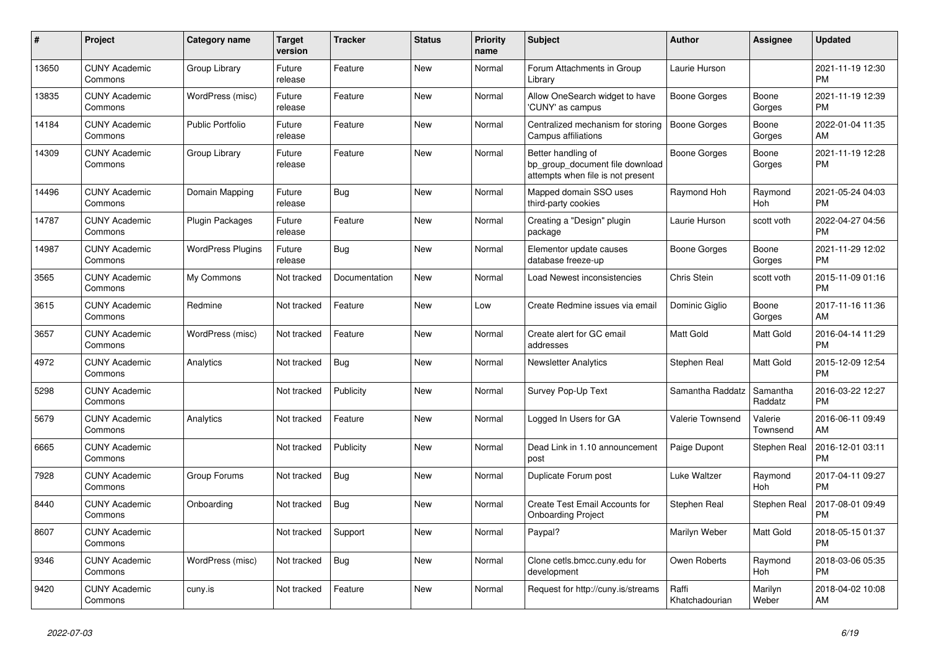| #     | <b>Project</b>                  | Category name            | <b>Target</b><br>version | <b>Tracker</b> | <b>Status</b> | Priority<br>name | <b>Subject</b>                                                                             | <b>Author</b>           | Assignee            | <b>Updated</b>                |
|-------|---------------------------------|--------------------------|--------------------------|----------------|---------------|------------------|--------------------------------------------------------------------------------------------|-------------------------|---------------------|-------------------------------|
| 13650 | <b>CUNY Academic</b><br>Commons | Group Library            | Future<br>release        | Feature        | New           | Normal           | Forum Attachments in Group<br>Library                                                      | Laurie Hurson           |                     | 2021-11-19 12:30<br><b>PM</b> |
| 13835 | <b>CUNY Academic</b><br>Commons | WordPress (misc)         | Future<br>release        | Feature        | <b>New</b>    | Normal           | Allow OneSearch widget to have<br>'CUNY' as campus                                         | Boone Gorges            | Boone<br>Gorges     | 2021-11-19 12:39<br><b>PM</b> |
| 14184 | <b>CUNY Academic</b><br>Commons | <b>Public Portfolio</b>  | Future<br>release        | Feature        | <b>New</b>    | Normal           | Centralized mechanism for storing<br>Campus affiliations                                   | Boone Gorges            | Boone<br>Gorges     | 2022-01-04 11:35<br>AM        |
| 14309 | <b>CUNY Academic</b><br>Commons | Group Library            | Future<br>release        | Feature        | <b>New</b>    | Normal           | Better handling of<br>bp_group_document file download<br>attempts when file is not present | Boone Gorges            | Boone<br>Gorges     | 2021-11-19 12:28<br><b>PM</b> |
| 14496 | <b>CUNY Academic</b><br>Commons | Domain Mapping           | Future<br>release        | Bug            | <b>New</b>    | Normal           | Mapped domain SSO uses<br>third-party cookies                                              | Raymond Hoh             | Raymond<br>Hoh      | 2021-05-24 04:03<br><b>PM</b> |
| 14787 | <b>CUNY Academic</b><br>Commons | Plugin Packages          | Future<br>release        | Feature        | <b>New</b>    | Normal           | Creating a "Design" plugin<br>package                                                      | Laurie Hurson           | scott voth          | 2022-04-27 04:56<br><b>PM</b> |
| 14987 | <b>CUNY Academic</b><br>Commons | <b>WordPress Plugins</b> | Future<br>release        | Bug            | <b>New</b>    | Normal           | Elementor update causes<br>database freeze-up                                              | Boone Gorges            | Boone<br>Gorges     | 2021-11-29 12:02<br><b>PM</b> |
| 3565  | <b>CUNY Academic</b><br>Commons | My Commons               | Not tracked              | Documentation  | <b>New</b>    | Normal           | Load Newest inconsistencies                                                                | Chris Stein             | scott voth          | 2015-11-09 01:16<br><b>PM</b> |
| 3615  | <b>CUNY Academic</b><br>Commons | Redmine                  | Not tracked              | Feature        | <b>New</b>    | Low              | Create Redmine issues via email                                                            | Dominic Giglio          | Boone<br>Gorges     | 2017-11-16 11:36<br>AM        |
| 3657  | <b>CUNY Academic</b><br>Commons | WordPress (misc)         | Not tracked              | Feature        | New           | Normal           | Create alert for GC email<br>addresses                                                     | <b>Matt Gold</b>        | Matt Gold           | 2016-04-14 11:29<br><b>PM</b> |
| 4972  | <b>CUNY Academic</b><br>Commons | Analytics                | Not tracked              | <b>Bug</b>     | New           | Normal           | <b>Newsletter Analytics</b>                                                                | Stephen Real            | Matt Gold           | 2015-12-09 12:54<br><b>PM</b> |
| 5298  | <b>CUNY Academic</b><br>Commons |                          | Not tracked              | Publicity      | <b>New</b>    | Normal           | Survey Pop-Up Text                                                                         | Samantha Raddatz        | Samantha<br>Raddatz | 2016-03-22 12:27<br><b>PM</b> |
| 5679  | <b>CUNY Academic</b><br>Commons | Analytics                | Not tracked              | Feature        | <b>New</b>    | Normal           | Logged In Users for GA                                                                     | Valerie Townsend        | Valerie<br>Townsend | 2016-06-11 09:49<br>AM        |
| 6665  | <b>CUNY Academic</b><br>Commons |                          | Not tracked              | Publicity      | New           | Normal           | Dead Link in 1.10 announcement<br>post                                                     | Paige Dupont            | Stephen Real        | 2016-12-01 03:11<br><b>PM</b> |
| 7928  | <b>CUNY Academic</b><br>Commons | Group Forums             | Not tracked              | <b>Bug</b>     | <b>New</b>    | Normal           | Duplicate Forum post                                                                       | Luke Waltzer            | Raymond<br>Hoh      | 2017-04-11 09:27<br><b>PM</b> |
| 8440  | <b>CUNY Academic</b><br>Commons | Onboarding               | Not tracked              | Bug            | <b>New</b>    | Normal           | Create Test Email Accounts for<br><b>Onboarding Project</b>                                | Stephen Real            | <b>Stephen Real</b> | 2017-08-01 09:49<br><b>PM</b> |
| 8607  | <b>CUNY Academic</b><br>Commons |                          | Not tracked              | Support        | New           | Normal           | Paypal?                                                                                    | Marilyn Weber           | Matt Gold           | 2018-05-15 01:37<br><b>PM</b> |
| 9346  | <b>CUNY Academic</b><br>Commons | WordPress (misc)         | Not tracked              | <b>Bug</b>     | New           | Normal           | Clone cetls.bmcc.cuny.edu for<br>development                                               | Owen Roberts            | Raymond<br>Hoh      | 2018-03-06 05:35<br><b>PM</b> |
| 9420  | <b>CUNY Academic</b><br>Commons | cuny.is                  | Not tracked              | Feature        | <b>New</b>    | Normal           | Request for http://cuny.is/streams                                                         | Raffi<br>Khatchadourian | Marilyn<br>Weber    | 2018-04-02 10:08<br>AM        |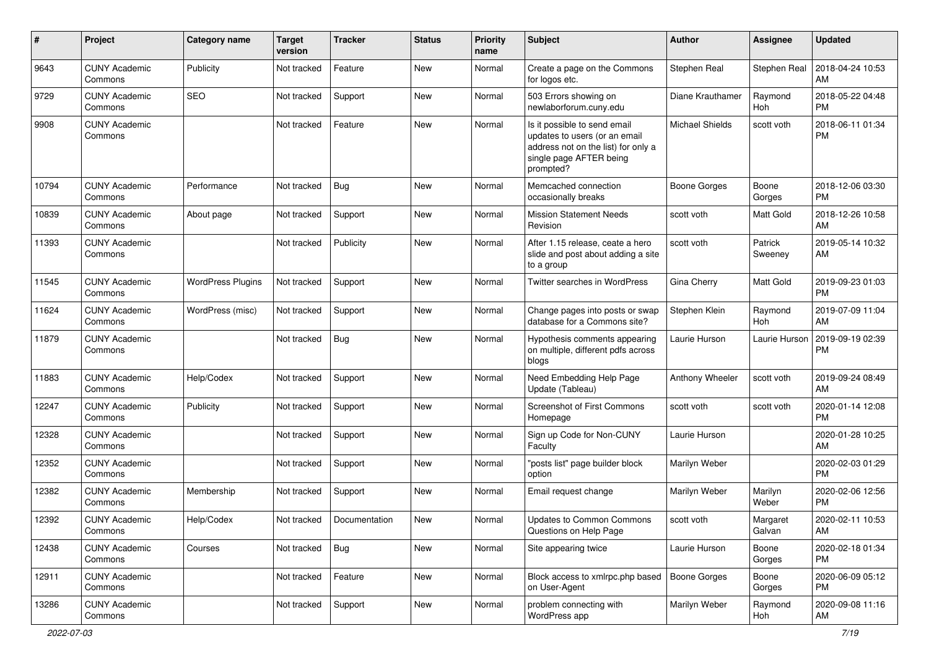| #     | Project                         | Category name            | <b>Target</b><br>version | Tracker       | <b>Status</b> | <b>Priority</b><br>name | <b>Subject</b>                                                                                                                               | Author                 | <b>Assignee</b>    | <b>Updated</b>                |
|-------|---------------------------------|--------------------------|--------------------------|---------------|---------------|-------------------------|----------------------------------------------------------------------------------------------------------------------------------------------|------------------------|--------------------|-------------------------------|
| 9643  | <b>CUNY Academic</b><br>Commons | Publicity                | Not tracked              | Feature       | <b>New</b>    | Normal                  | Create a page on the Commons<br>for logos etc.                                                                                               | Stephen Real           | Stephen Real       | 2018-04-24 10:53<br>AM        |
| 9729  | <b>CUNY Academic</b><br>Commons | <b>SEO</b>               | Not tracked              | Support       | New           | Normal                  | 503 Errors showing on<br>newlaborforum.cuny.edu                                                                                              | Diane Krauthamer       | Raymond<br>Hoh     | 2018-05-22 04:48<br><b>PM</b> |
| 9908  | <b>CUNY Academic</b><br>Commons |                          | Not tracked              | Feature       | <b>New</b>    | Normal                  | Is it possible to send email<br>updates to users (or an email<br>address not on the list) for only a<br>single page AFTER being<br>prompted? | <b>Michael Shields</b> | scott voth         | 2018-06-11 01:34<br>PM        |
| 10794 | <b>CUNY Academic</b><br>Commons | Performance              | Not tracked              | Bug           | <b>New</b>    | Normal                  | Memcached connection<br>occasionally breaks                                                                                                  | <b>Boone Gorges</b>    | Boone<br>Gorges    | 2018-12-06 03:30<br><b>PM</b> |
| 10839 | <b>CUNY Academic</b><br>Commons | About page               | Not tracked              | Support       | <b>New</b>    | Normal                  | <b>Mission Statement Needs</b><br>Revision                                                                                                   | scott voth             | Matt Gold          | 2018-12-26 10:58<br>AM        |
| 11393 | <b>CUNY Academic</b><br>Commons |                          | Not tracked              | Publicity     | <b>New</b>    | Normal                  | After 1.15 release, ceate a hero<br>slide and post about adding a site<br>to a group                                                         | scott voth             | Patrick<br>Sweeney | 2019-05-14 10:32<br>AM        |
| 11545 | <b>CUNY Academic</b><br>Commons | <b>WordPress Plugins</b> | Not tracked              | Support       | <b>New</b>    | Normal                  | <b>Twitter searches in WordPress</b>                                                                                                         | Gina Cherry            | Matt Gold          | 2019-09-23 01:03<br><b>PM</b> |
| 11624 | <b>CUNY Academic</b><br>Commons | WordPress (misc)         | Not tracked              | Support       | <b>New</b>    | Normal                  | Change pages into posts or swap<br>database for a Commons site?                                                                              | Stephen Klein          | Raymond<br>Hoh     | 2019-07-09 11:04<br>AM        |
| 11879 | <b>CUNY Academic</b><br>Commons |                          | Not tracked              | Bug           | New           | Normal                  | Hypothesis comments appearing<br>on multiple, different pdfs across<br>blogs                                                                 | Laurie Hurson          | Laurie Hurson      | 2019-09-19 02:39<br><b>PM</b> |
| 11883 | <b>CUNY Academic</b><br>Commons | Help/Codex               | Not tracked              | Support       | <b>New</b>    | Normal                  | Need Embedding Help Page<br>Update (Tableau)                                                                                                 | Anthony Wheeler        | scott voth         | 2019-09-24 08:49<br>AM        |
| 12247 | <b>CUNY Academic</b><br>Commons | Publicity                | Not tracked              | Support       | <b>New</b>    | Normal                  | Screenshot of First Commons<br>Homepage                                                                                                      | scott voth             | scott voth         | 2020-01-14 12:08<br><b>PM</b> |
| 12328 | <b>CUNY Academic</b><br>Commons |                          | Not tracked              | Support       | <b>New</b>    | Normal                  | Sign up Code for Non-CUNY<br>Faculty                                                                                                         | Laurie Hurson          |                    | 2020-01-28 10:25<br>AM        |
| 12352 | <b>CUNY Academic</b><br>Commons |                          | Not tracked              | Support       | <b>New</b>    | Normal                  | "posts list" page builder block<br>option                                                                                                    | Marilyn Weber          |                    | 2020-02-03 01:29<br><b>PM</b> |
| 12382 | <b>CUNY Academic</b><br>Commons | Membership               | Not tracked              | Support       | <b>New</b>    | Normal                  | Email request change                                                                                                                         | Marilyn Weber          | Marilyn<br>Weber   | 2020-02-06 12:56<br><b>PM</b> |
| 12392 | <b>CUNY Academic</b><br>Commons | Help/Codex               | Not tracked              | Documentation | New           | Normal                  | <b>Updates to Common Commons</b><br>Questions on Help Page                                                                                   | scott voth             | Margaret<br>Galvan | 2020-02-11 10:53<br>AM        |
| 12438 | <b>CUNY Academic</b><br>Commons | Courses                  | Not tracked              | Bug           | New           | Normal                  | Site appearing twice                                                                                                                         | Laurie Hurson          | Boone<br>Gorges    | 2020-02-18 01:34<br><b>PM</b> |
| 12911 | <b>CUNY Academic</b><br>Commons |                          | Not tracked              | Feature       | New           | Normal                  | Block access to xmlrpc.php based<br>on User-Agent                                                                                            | Boone Gorges           | Boone<br>Gorges    | 2020-06-09 05:12<br>PM.       |
| 13286 | <b>CUNY Academic</b><br>Commons |                          | Not tracked              | Support       | New           | Normal                  | problem connecting with<br>WordPress app                                                                                                     | Marilyn Weber          | Raymond<br>Hoh     | 2020-09-08 11:16<br>AM        |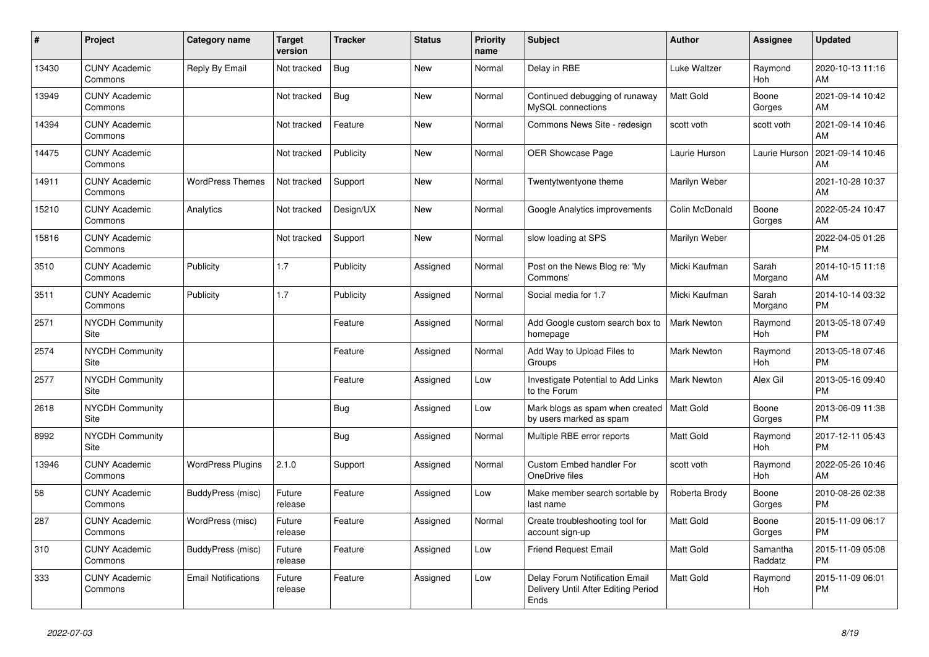| #     | <b>Project</b>                  | Category name              | <b>Target</b><br>version | <b>Tracker</b> | <b>Status</b> | <b>Priority</b><br>name | <b>Subject</b>                                                                | <b>Author</b>      | Assignee              | <b>Updated</b>                |
|-------|---------------------------------|----------------------------|--------------------------|----------------|---------------|-------------------------|-------------------------------------------------------------------------------|--------------------|-----------------------|-------------------------------|
| 13430 | <b>CUNY Academic</b><br>Commons | Reply By Email             | Not tracked              | <b>Bug</b>     | New           | Normal                  | Delay in RBE                                                                  | Luke Waltzer       | Raymond<br>Hoh        | 2020-10-13 11:16<br>AM        |
| 13949 | <b>CUNY Academic</b><br>Commons |                            | Not tracked              | Bug            | New           | Normal                  | Continued debugging of runaway<br>MySQL connections                           | <b>Matt Gold</b>   | Boone<br>Gorges       | 2021-09-14 10:42<br>AM        |
| 14394 | <b>CUNY Academic</b><br>Commons |                            | Not tracked              | Feature        | <b>New</b>    | Normal                  | Commons News Site - redesign                                                  | scott voth         | scott voth            | 2021-09-14 10:46<br>AM        |
| 14475 | <b>CUNY Academic</b><br>Commons |                            | Not tracked              | Publicity      | <b>New</b>    | Normal                  | <b>OER Showcase Page</b>                                                      | Laurie Hurson      | Laurie Hurson         | 2021-09-14 10:46<br>AM        |
| 14911 | <b>CUNY Academic</b><br>Commons | <b>WordPress Themes</b>    | Not tracked              | Support        | <b>New</b>    | Normal                  | Twentytwentyone theme                                                         | Marilyn Weber      |                       | 2021-10-28 10:37<br>AM        |
| 15210 | <b>CUNY Academic</b><br>Commons | Analytics                  | Not tracked              | Design/UX      | New           | Normal                  | Google Analytics improvements                                                 | Colin McDonald     | Boone<br>Gorges       | 2022-05-24 10:47<br>AM        |
| 15816 | <b>CUNY Academic</b><br>Commons |                            | Not tracked              | Support        | <b>New</b>    | Normal                  | slow loading at SPS                                                           | Marilyn Weber      |                       | 2022-04-05 01:26<br><b>PM</b> |
| 3510  | <b>CUNY Academic</b><br>Commons | Publicity                  | 1.7                      | Publicity      | Assigned      | Normal                  | Post on the News Blog re: 'My<br>Commons'                                     | Micki Kaufman      | Sarah<br>Morgano      | 2014-10-15 11:18<br>AM        |
| 3511  | <b>CUNY Academic</b><br>Commons | Publicity                  | 1.7                      | Publicity      | Assigned      | Normal                  | Social media for 1.7                                                          | Micki Kaufman      | Sarah<br>Morgano      | 2014-10-14 03:32<br><b>PM</b> |
| 2571  | <b>NYCDH Community</b><br>Site  |                            |                          | Feature        | Assigned      | Normal                  | Add Google custom search box to<br>homepage                                   | <b>Mark Newton</b> | Raymond<br>Hoh        | 2013-05-18 07:49<br><b>PM</b> |
| 2574  | <b>NYCDH Community</b><br>Site  |                            |                          | Feature        | Assigned      | Normal                  | Add Way to Upload Files to<br>Groups                                          | <b>Mark Newton</b> | Raymond<br>Hoh        | 2013-05-18 07:46<br><b>PM</b> |
| 2577  | <b>NYCDH Community</b><br>Site  |                            |                          | Feature        | Assigned      | Low                     | Investigate Potential to Add Links<br>to the Forum                            | <b>Mark Newton</b> | Alex Gil              | 2013-05-16 09:40<br><b>PM</b> |
| 2618  | <b>NYCDH Community</b><br>Site  |                            |                          | Bug            | Assigned      | Low                     | Mark blogs as spam when created   Matt Gold<br>by users marked as spam        |                    | Boone<br>Gorges       | 2013-06-09 11:38<br><b>PM</b> |
| 8992  | <b>NYCDH Community</b><br>Site  |                            |                          | Bug            | Assigned      | Normal                  | Multiple RBE error reports                                                    | Matt Gold          | Raymond<br>Hoh        | 2017-12-11 05:43<br><b>PM</b> |
| 13946 | <b>CUNY Academic</b><br>Commons | <b>WordPress Plugins</b>   | 2.1.0                    | Support        | Assigned      | Normal                  | <b>Custom Embed handler For</b><br>OneDrive files                             | scott voth         | Raymond<br>Hoh        | 2022-05-26 10:46<br>AM        |
| 58    | <b>CUNY Academic</b><br>Commons | BuddyPress (misc)          | Future<br>release        | Feature        | Assigned      | Low                     | Make member search sortable by<br>last name                                   | Roberta Brody      | Boone<br>Gorges       | 2010-08-26 02:38<br><b>PM</b> |
| 287   | <b>CUNY Academic</b><br>Commons | WordPress (misc)           | Future<br>release        | Feature        | Assigned      | Normal                  | Create troubleshooting tool for<br>account sign-up                            | <b>Matt Gold</b>   | Boone<br>Gorges       | 2015-11-09 06:17<br><b>PM</b> |
| 310   | <b>CUNY Academic</b><br>Commons | BuddyPress (misc)          | Future<br>release        | Feature        | Assigned      | Low                     | <b>Friend Request Email</b>                                                   | <b>Matt Gold</b>   | Samantha<br>Raddatz   | 2015-11-09 05:08<br><b>PM</b> |
| 333   | <b>CUNY Academic</b><br>Commons | <b>Email Notifications</b> | Future<br>release        | Feature        | Assigned      | Low                     | Delay Forum Notification Email<br>Delivery Until After Editing Period<br>Ends | <b>Matt Gold</b>   | Raymond<br><b>Hoh</b> | 2015-11-09 06:01<br><b>PM</b> |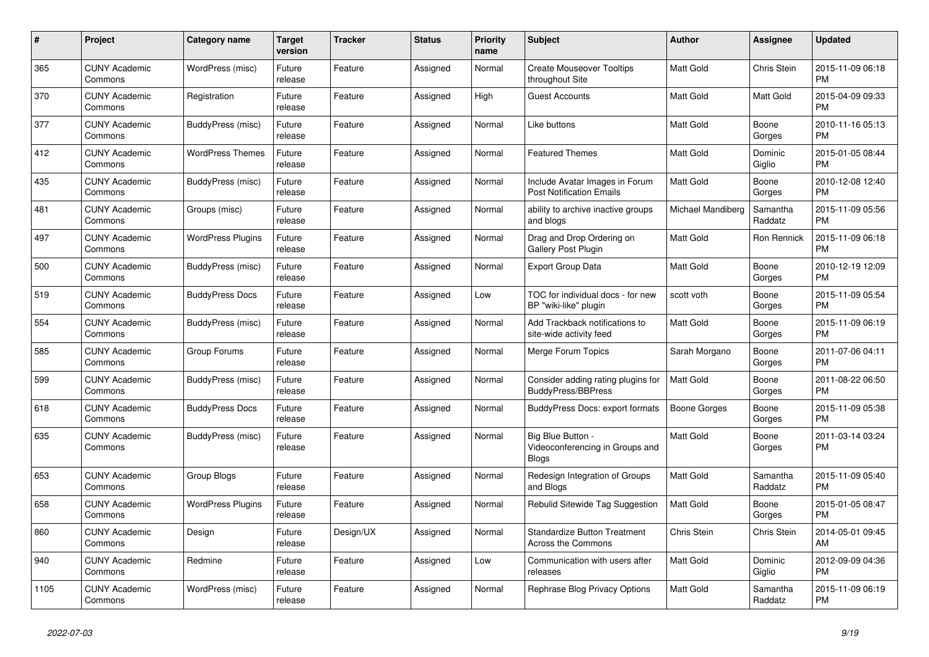| #    | Project                         | Category name            | <b>Target</b><br>version | Tracker   | <b>Status</b> | <b>Priority</b><br>name | <b>Subject</b>                                                       | <b>Author</b>       | Assignee            | <b>Updated</b>                |
|------|---------------------------------|--------------------------|--------------------------|-----------|---------------|-------------------------|----------------------------------------------------------------------|---------------------|---------------------|-------------------------------|
| 365  | <b>CUNY Academic</b><br>Commons | WordPress (misc)         | Future<br>release        | Feature   | Assigned      | Normal                  | <b>Create Mouseover Tooltips</b><br>throughout Site                  | <b>Matt Gold</b>    | Chris Stein         | 2015-11-09 06:18<br><b>PM</b> |
| 370  | <b>CUNY Academic</b><br>Commons | Registration             | Future<br>release        | Feature   | Assigned      | High                    | Guest Accounts                                                       | <b>Matt Gold</b>    | Matt Gold           | 2015-04-09 09:33<br><b>PM</b> |
| 377  | <b>CUNY Academic</b><br>Commons | BuddyPress (misc)        | Future<br>release        | Feature   | Assigned      | Normal                  | Like buttons                                                         | Matt Gold           | Boone<br>Gorges     | 2010-11-16 05:13<br><b>PM</b> |
| 412  | <b>CUNY Academic</b><br>Commons | <b>WordPress Themes</b>  | Future<br>release        | Feature   | Assigned      | Normal                  | <b>Featured Themes</b>                                               | <b>Matt Gold</b>    | Dominic<br>Giglio   | 2015-01-05 08:44<br><b>PM</b> |
| 435  | <b>CUNY Academic</b><br>Commons | BuddyPress (misc)        | Future<br>release        | Feature   | Assigned      | Normal                  | Include Avatar Images in Forum<br><b>Post Notification Emails</b>    | <b>Matt Gold</b>    | Boone<br>Gorges     | 2010-12-08 12:40<br><b>PM</b> |
| 481  | <b>CUNY Academic</b><br>Commons | Groups (misc)            | Future<br>release        | Feature   | Assigned      | Normal                  | ability to archive inactive groups<br>and blogs                      | Michael Mandiberg   | Samantha<br>Raddatz | 2015-11-09 05:56<br>PM        |
| 497  | <b>CUNY Academic</b><br>Commons | <b>WordPress Plugins</b> | Future<br>release        | Feature   | Assigned      | Normal                  | Drag and Drop Ordering on<br><b>Gallery Post Plugin</b>              | <b>Matt Gold</b>    | Ron Rennick         | 2015-11-09 06:18<br><b>PM</b> |
| 500  | <b>CUNY Academic</b><br>Commons | BuddyPress (misc)        | Future<br>release        | Feature   | Assigned      | Normal                  | <b>Export Group Data</b>                                             | <b>Matt Gold</b>    | Boone<br>Gorges     | 2010-12-19 12:09<br><b>PM</b> |
| 519  | <b>CUNY Academic</b><br>Commons | <b>BuddyPress Docs</b>   | Future<br>release        | Feature   | Assigned      | Low                     | TOC for individual docs - for new<br>BP "wiki-like" plugin           | scott voth          | Boone<br>Gorges     | 2015-11-09 05:54<br>PM        |
| 554  | <b>CUNY Academic</b><br>Commons | BuddyPress (misc)        | Future<br>release        | Feature   | Assigned      | Normal                  | Add Trackback notifications to<br>site-wide activity feed            | <b>Matt Gold</b>    | Boone<br>Gorges     | 2015-11-09 06:19<br><b>PM</b> |
| 585  | <b>CUNY Academic</b><br>Commons | Group Forums             | Future<br>release        | Feature   | Assigned      | Normal                  | Merge Forum Topics                                                   | Sarah Morgano       | Boone<br>Gorges     | 2011-07-06 04:11<br><b>PM</b> |
| 599  | <b>CUNY Academic</b><br>Commons | BuddyPress (misc)        | Future<br>release        | Feature   | Assigned      | Normal                  | Consider adding rating plugins for<br><b>BuddyPress/BBPress</b>      | <b>Matt Gold</b>    | Boone<br>Gorges     | 2011-08-22 06:50<br>PM        |
| 618  | <b>CUNY Academic</b><br>Commons | <b>BuddyPress Docs</b>   | Future<br>release        | Feature   | Assigned      | Normal                  | BuddyPress Docs: export formats                                      | <b>Boone Gorges</b> | Boone<br>Gorges     | 2015-11-09 05:38<br>PM        |
| 635  | <b>CUNY Academic</b><br>Commons | BuddyPress (misc)        | Future<br>release        | Feature   | Assigned      | Normal                  | Big Blue Button -<br>Videoconferencing in Groups and<br><b>Blogs</b> | <b>Matt Gold</b>    | Boone<br>Gorges     | 2011-03-14 03:24<br>PM        |
| 653  | <b>CUNY Academic</b><br>Commons | Group Blogs              | Future<br>release        | Feature   | Assigned      | Normal                  | Redesign Integration of Groups<br>and Blogs                          | <b>Matt Gold</b>    | Samantha<br>Raddatz | 2015-11-09 05:40<br>PM        |
| 658  | <b>CUNY Academic</b><br>Commons | <b>WordPress Plugins</b> | Future<br>release        | Feature   | Assigned      | Normal                  | Rebulid Sitewide Tag Suggestion                                      | <b>Matt Gold</b>    | Boone<br>Gorges     | 2015-01-05 08:47<br><b>PM</b> |
| 860  | <b>CUNY Academic</b><br>Commons | Design                   | Future<br>release        | Design/UX | Assigned      | Normal                  | <b>Standardize Button Treatment</b><br>Across the Commons            | Chris Stein         | Chris Stein         | 2014-05-01 09:45<br>AM        |
| 940  | <b>CUNY Academic</b><br>Commons | Redmine                  | Future<br>release        | Feature   | Assigned      | Low                     | Communication with users after<br>releases                           | Matt Gold           | Dominic<br>Giglio   | 2012-09-09 04:36<br>PM        |
| 1105 | <b>CUNY Academic</b><br>Commons | WordPress (misc)         | Future<br>release        | Feature   | Assigned      | Normal                  | Rephrase Blog Privacy Options                                        | <b>Matt Gold</b>    | Samantha<br>Raddatz | 2015-11-09 06:19<br><b>PM</b> |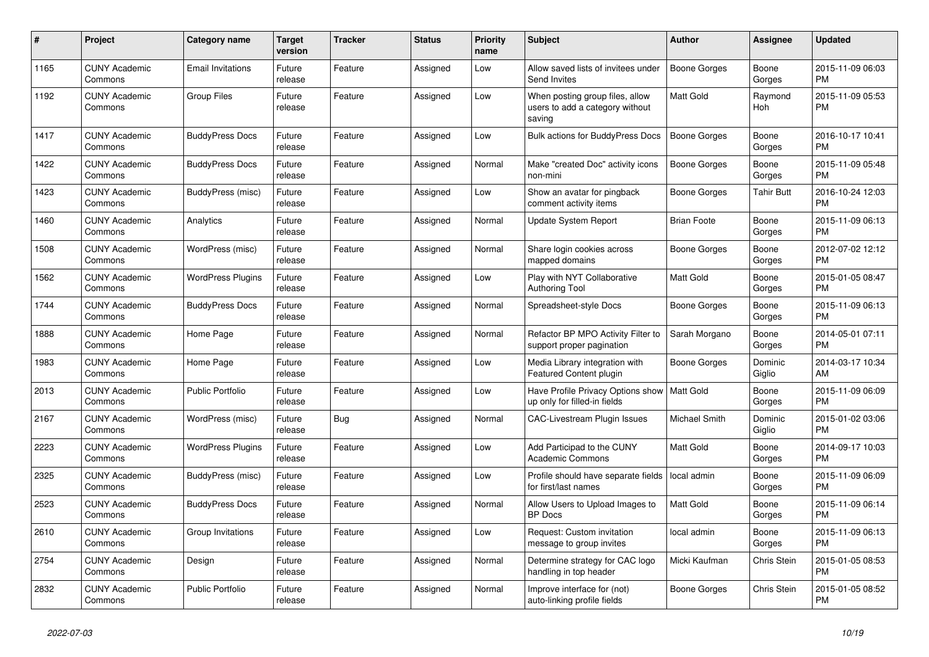| #    | <b>Project</b>                  | Category name            | <b>Target</b><br>version | <b>Tracker</b> | <b>Status</b> | <b>Priority</b><br>name | <b>Subject</b>                                                                | <b>Author</b>        | Assignee          | <b>Updated</b>                |
|------|---------------------------------|--------------------------|--------------------------|----------------|---------------|-------------------------|-------------------------------------------------------------------------------|----------------------|-------------------|-------------------------------|
| 1165 | <b>CUNY Academic</b><br>Commons | <b>Email Invitations</b> | Future<br>release        | Feature        | Assigned      | Low                     | Allow saved lists of invitees under<br>Send Invites                           | Boone Gorges         | Boone<br>Gorges   | 2015-11-09 06:03<br><b>PM</b> |
| 1192 | <b>CUNY Academic</b><br>Commons | <b>Group Files</b>       | Future<br>release        | Feature        | Assigned      | Low                     | When posting group files, allow<br>users to add a category without<br>saving  | Matt Gold            | Raymond<br>Hoh    | 2015-11-09 05:53<br><b>PM</b> |
| 1417 | <b>CUNY Academic</b><br>Commons | <b>BuddyPress Docs</b>   | Future<br>release        | Feature        | Assigned      | Low                     | <b>Bulk actions for BuddyPress Docs</b>                                       | <b>Boone Gorges</b>  | Boone<br>Gorges   | 2016-10-17 10:41<br><b>PM</b> |
| 1422 | <b>CUNY Academic</b><br>Commons | <b>BuddyPress Docs</b>   | Future<br>release        | Feature        | Assigned      | Normal                  | Make "created Doc" activity icons<br>non-mini                                 | <b>Boone Gorges</b>  | Boone<br>Gorges   | 2015-11-09 05:48<br><b>PM</b> |
| 1423 | <b>CUNY Academic</b><br>Commons | BuddyPress (misc)        | Future<br>release        | Feature        | Assigned      | Low                     | Show an avatar for pingback<br>comment activity items                         | Boone Gorges         | <b>Tahir Butt</b> | 2016-10-24 12:03<br><b>PM</b> |
| 1460 | <b>CUNY Academic</b><br>Commons | Analytics                | Future<br>release        | Feature        | Assigned      | Normal                  | <b>Update System Report</b>                                                   | <b>Brian Foote</b>   | Boone<br>Gorges   | 2015-11-09 06:13<br><b>PM</b> |
| 1508 | <b>CUNY Academic</b><br>Commons | WordPress (misc)         | Future<br>release        | Feature        | Assigned      | Normal                  | Share login cookies across<br>mapped domains                                  | Boone Gorges         | Boone<br>Gorges   | 2012-07-02 12:12<br><b>PM</b> |
| 1562 | <b>CUNY Academic</b><br>Commons | <b>WordPress Plugins</b> | Future<br>release        | Feature        | Assigned      | Low                     | Play with NYT Collaborative<br><b>Authoring Tool</b>                          | Matt Gold            | Boone<br>Gorges   | 2015-01-05 08:47<br><b>PM</b> |
| 1744 | <b>CUNY Academic</b><br>Commons | <b>BuddyPress Docs</b>   | Future<br>release        | Feature        | Assigned      | Normal                  | Spreadsheet-style Docs                                                        | Boone Gorges         | Boone<br>Gorges   | 2015-11-09 06:13<br><b>PM</b> |
| 1888 | <b>CUNY Academic</b><br>Commons | Home Page                | Future<br>release        | Feature        | Assigned      | Normal                  | Refactor BP MPO Activity Filter to<br>support proper pagination               | Sarah Morgano        | Boone<br>Gorges   | 2014-05-01 07:11<br><b>PM</b> |
| 1983 | <b>CUNY Academic</b><br>Commons | Home Page                | Future<br>release        | Feature        | Assigned      | Low                     | Media Library integration with<br>Featured Content plugin                     | Boone Gorges         | Dominic<br>Giglio | 2014-03-17 10:34<br>AM        |
| 2013 | <b>CUNY Academic</b><br>Commons | Public Portfolio         | Future<br>release        | Feature        | Assigned      | Low                     | Have Profile Privacy Options show   Matt Gold<br>up only for filled-in fields |                      | Boone<br>Gorges   | 2015-11-09 06:09<br><b>PM</b> |
| 2167 | <b>CUNY Academic</b><br>Commons | WordPress (misc)         | Future<br>release        | Bug            | Assigned      | Normal                  | <b>CAC-Livestream Plugin Issues</b>                                           | <b>Michael Smith</b> | Dominic<br>Giglio | 2015-01-02 03:06<br><b>PM</b> |
| 2223 | <b>CUNY Academic</b><br>Commons | <b>WordPress Plugins</b> | Future<br>release        | Feature        | Assigned      | Low                     | Add Participad to the CUNY<br><b>Academic Commons</b>                         | <b>Matt Gold</b>     | Boone<br>Gorges   | 2014-09-17 10:03<br><b>PM</b> |
| 2325 | <b>CUNY Academic</b><br>Commons | BuddyPress (misc)        | Future<br>release        | Feature        | Assigned      | Low                     | Profile should have separate fields<br>for first/last names                   | local admin          | Boone<br>Gorges   | 2015-11-09 06:09<br><b>PM</b> |
| 2523 | <b>CUNY Academic</b><br>Commons | <b>BuddyPress Docs</b>   | Future<br>release        | Feature        | Assigned      | Normal                  | Allow Users to Upload Images to<br><b>BP</b> Docs                             | <b>Matt Gold</b>     | Boone<br>Gorges   | 2015-11-09 06:14<br><b>PM</b> |
| 2610 | <b>CUNY Academic</b><br>Commons | Group Invitations        | Future<br>release        | Feature        | Assigned      | Low                     | Request: Custom invitation<br>message to group invites                        | local admin          | Boone<br>Gorges   | 2015-11-09 06:13<br><b>PM</b> |
| 2754 | <b>CUNY Academic</b><br>Commons | Design                   | Future<br>release        | Feature        | Assigned      | Normal                  | Determine strategy for CAC logo<br>handling in top header                     | Micki Kaufman        | Chris Stein       | 2015-01-05 08:53<br><b>PM</b> |
| 2832 | <b>CUNY Academic</b><br>Commons | Public Portfolio         | Future<br>release        | Feature        | Assigned      | Normal                  | Improve interface for (not)<br>auto-linking profile fields                    | Boone Gorges         | Chris Stein       | 2015-01-05 08:52<br><b>PM</b> |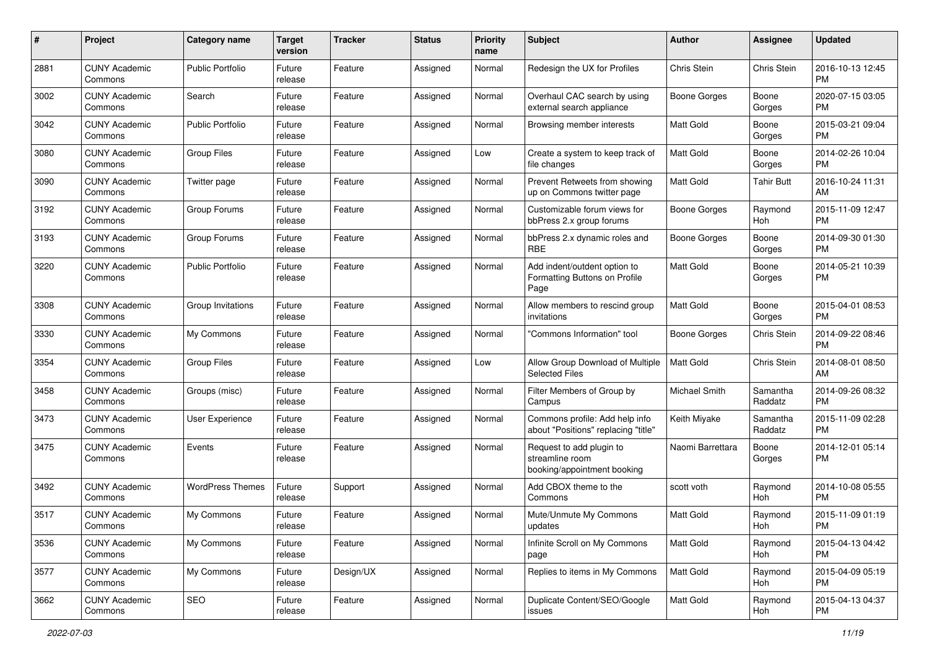| #    | Project                         | <b>Category name</b>    | <b>Target</b><br>version | <b>Tracker</b> | <b>Status</b> | <b>Priority</b><br>name | <b>Subject</b>                                                             | Author              | <b>Assignee</b>     | <b>Updated</b>                |
|------|---------------------------------|-------------------------|--------------------------|----------------|---------------|-------------------------|----------------------------------------------------------------------------|---------------------|---------------------|-------------------------------|
| 2881 | <b>CUNY Academic</b><br>Commons | <b>Public Portfolio</b> | Future<br>release        | Feature        | Assigned      | Normal                  | Redesign the UX for Profiles                                               | Chris Stein         | Chris Stein         | 2016-10-13 12:45<br><b>PM</b> |
| 3002 | <b>CUNY Academic</b><br>Commons | Search                  | Future<br>release        | Feature        | Assigned      | Normal                  | Overhaul CAC search by using<br>external search appliance                  | Boone Gorges        | Boone<br>Gorges     | 2020-07-15 03:05<br><b>PM</b> |
| 3042 | <b>CUNY Academic</b><br>Commons | <b>Public Portfolio</b> | Future<br>release        | Feature        | Assigned      | Normal                  | Browsing member interests                                                  | <b>Matt Gold</b>    | Boone<br>Gorges     | 2015-03-21 09:04<br><b>PM</b> |
| 3080 | <b>CUNY Academic</b><br>Commons | <b>Group Files</b>      | Future<br>release        | Feature        | Assigned      | Low                     | Create a system to keep track of<br>file changes                           | <b>Matt Gold</b>    | Boone<br>Gorges     | 2014-02-26 10:04<br>PM.       |
| 3090 | <b>CUNY Academic</b><br>Commons | Twitter page            | Future<br>release        | Feature        | Assigned      | Normal                  | Prevent Retweets from showing<br>up on Commons twitter page                | <b>Matt Gold</b>    | <b>Tahir Butt</b>   | 2016-10-24 11:31<br>AM        |
| 3192 | <b>CUNY Academic</b><br>Commons | Group Forums            | Future<br>release        | Feature        | Assigned      | Normal                  | Customizable forum views for<br>bbPress 2.x group forums                   | Boone Gorges        | Raymond<br>Hoh      | 2015-11-09 12:47<br><b>PM</b> |
| 3193 | <b>CUNY Academic</b><br>Commons | Group Forums            | Future<br>release        | Feature        | Assigned      | Normal                  | bbPress 2.x dynamic roles and<br>RBE                                       | <b>Boone Gorges</b> | Boone<br>Gorges     | 2014-09-30 01:30<br>PM.       |
| 3220 | <b>CUNY Academic</b><br>Commons | <b>Public Portfolio</b> | Future<br>release        | Feature        | Assigned      | Normal                  | Add indent/outdent option to<br>Formatting Buttons on Profile<br>Page      | <b>Matt Gold</b>    | Boone<br>Gorges     | 2014-05-21 10:39<br>PM.       |
| 3308 | <b>CUNY Academic</b><br>Commons | Group Invitations       | Future<br>release        | Feature        | Assigned      | Normal                  | Allow members to rescind group<br>invitations                              | Matt Gold           | Boone<br>Gorges     | 2015-04-01 08:53<br>PM.       |
| 3330 | <b>CUNY Academic</b><br>Commons | My Commons              | Future<br>release        | Feature        | Assigned      | Normal                  | "Commons Information" tool                                                 | <b>Boone Gorges</b> | Chris Stein         | 2014-09-22 08:46<br><b>PM</b> |
| 3354 | <b>CUNY Academic</b><br>Commons | <b>Group Files</b>      | Future<br>release        | Feature        | Assigned      | Low                     | Allow Group Download of Multiple<br><b>Selected Files</b>                  | Matt Gold           | Chris Stein         | 2014-08-01 08:50<br>AM        |
| 3458 | <b>CUNY Academic</b><br>Commons | Groups (misc)           | Future<br>release        | Feature        | Assigned      | Normal                  | Filter Members of Group by<br>Campus                                       | Michael Smith       | Samantha<br>Raddatz | 2014-09-26 08:32<br><b>PM</b> |
| 3473 | <b>CUNY Academic</b><br>Commons | User Experience         | Future<br>release        | Feature        | Assigned      | Normal                  | Commons profile: Add help info<br>about "Positions" replacing "title"      | Keith Miyake        | Samantha<br>Raddatz | 2015-11-09 02:28<br><b>PM</b> |
| 3475 | <b>CUNY Academic</b><br>Commons | Events                  | Future<br>release        | Feature        | Assigned      | Normal                  | Request to add plugin to<br>streamline room<br>booking/appointment booking | Naomi Barrettara    | Boone<br>Gorges     | 2014-12-01 05:14<br>PM.       |
| 3492 | <b>CUNY Academic</b><br>Commons | <b>WordPress Themes</b> | Future<br>release        | Support        | Assigned      | Normal                  | Add CBOX theme to the<br>Commons                                           | scott voth          | Raymond<br>Hoh      | 2014-10-08 05:55<br><b>PM</b> |
| 3517 | <b>CUNY Academic</b><br>Commons | My Commons              | Future<br>release        | Feature        | Assigned      | Normal                  | Mute/Unmute My Commons<br>updates                                          | Matt Gold           | Raymond<br>Hoh      | 2015-11-09 01:19<br><b>PM</b> |
| 3536 | <b>CUNY Academic</b><br>Commons | My Commons              | Future<br>release        | Feature        | Assigned      | Normal                  | Infinite Scroll on My Commons<br>page                                      | Matt Gold           | Raymond<br>Hoh      | 2015-04-13 04:42<br>PM.       |
| 3577 | <b>CUNY Academic</b><br>Commons | My Commons              | Future<br>release        | Design/UX      | Assigned      | Normal                  | Replies to items in My Commons                                             | Matt Gold           | Raymond<br>Hoh      | 2015-04-09 05:19<br><b>PM</b> |
| 3662 | <b>CUNY Academic</b><br>Commons | SEO                     | Future<br>release        | Feature        | Assigned      | Normal                  | Duplicate Content/SEO/Google<br>issues                                     | Matt Gold           | Raymond<br>Hoh      | 2015-04-13 04:37<br><b>PM</b> |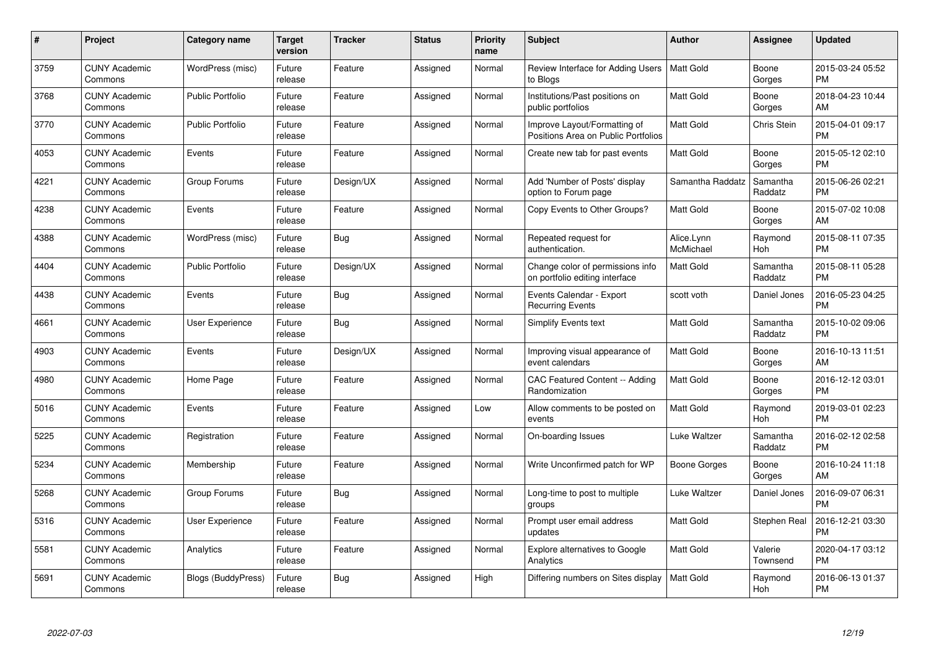| $\#$ | Project                         | <b>Category name</b>      | <b>Target</b><br>version | <b>Tracker</b> | <b>Status</b> | Priority<br>name | <b>Subject</b>                                                      | <b>Author</b>           | <b>Assignee</b>     | <b>Updated</b>                |
|------|---------------------------------|---------------------------|--------------------------|----------------|---------------|------------------|---------------------------------------------------------------------|-------------------------|---------------------|-------------------------------|
| 3759 | <b>CUNY Academic</b><br>Commons | WordPress (misc)          | Future<br>release        | Feature        | Assigned      | Normal           | Review Interface for Adding Users   Matt Gold<br>to Blogs           |                         | Boone<br>Gorges     | 2015-03-24 05:52<br><b>PM</b> |
| 3768 | <b>CUNY Academic</b><br>Commons | <b>Public Portfolio</b>   | Future<br>release        | Feature        | Assigned      | Normal           | Institutions/Past positions on<br>public portfolios                 | <b>Matt Gold</b>        | Boone<br>Gorges     | 2018-04-23 10:44<br>AM        |
| 3770 | <b>CUNY Academic</b><br>Commons | <b>Public Portfolio</b>   | Future<br>release        | Feature        | Assigned      | Normal           | Improve Layout/Formatting of<br>Positions Area on Public Portfolios | Matt Gold               | Chris Stein         | 2015-04-01 09:17<br><b>PM</b> |
| 4053 | <b>CUNY Academic</b><br>Commons | Events                    | Future<br>release        | Feature        | Assigned      | Normal           | Create new tab for past events                                      | Matt Gold               | Boone<br>Gorges     | 2015-05-12 02:10<br><b>PM</b> |
| 4221 | <b>CUNY Academic</b><br>Commons | Group Forums              | Future<br>release        | Design/UX      | Assigned      | Normal           | Add 'Number of Posts' display<br>option to Forum page               | Samantha Raddatz        | Samantha<br>Raddatz | 2015-06-26 02:21<br><b>PM</b> |
| 4238 | <b>CUNY Academic</b><br>Commons | Events                    | Future<br>release        | Feature        | Assigned      | Normal           | Copy Events to Other Groups?                                        | <b>Matt Gold</b>        | Boone<br>Gorges     | 2015-07-02 10:08<br>AM        |
| 4388 | <b>CUNY Academic</b><br>Commons | WordPress (misc)          | Future<br>release        | Bug            | Assigned      | Normal           | Repeated request for<br>authentication.                             | Alice.Lynn<br>McMichael | Raymond<br>Hoh      | 2015-08-11 07:35<br><b>PM</b> |
| 4404 | <b>CUNY Academic</b><br>Commons | Public Portfolio          | Future<br>release        | Design/UX      | Assigned      | Normal           | Change color of permissions info<br>on portfolio editing interface  | Matt Gold               | Samantha<br>Raddatz | 2015-08-11 05:28<br><b>PM</b> |
| 4438 | <b>CUNY Academic</b><br>Commons | Events                    | Future<br>release        | Bug            | Assigned      | Normal           | Events Calendar - Export<br><b>Recurring Events</b>                 | scott voth              | Daniel Jones        | 2016-05-23 04:25<br><b>PM</b> |
| 4661 | <b>CUNY Academic</b><br>Commons | User Experience           | Future<br>release        | Bug            | Assigned      | Normal           | Simplify Events text                                                | <b>Matt Gold</b>        | Samantha<br>Raddatz | 2015-10-02 09:06<br><b>PM</b> |
| 4903 | <b>CUNY Academic</b><br>Commons | Events                    | Future<br>release        | Design/UX      | Assigned      | Normal           | Improving visual appearance of<br>event calendars                   | Matt Gold               | Boone<br>Gorges     | 2016-10-13 11:51<br>AM        |
| 4980 | <b>CUNY Academic</b><br>Commons | Home Page                 | Future<br>release        | Feature        | Assigned      | Normal           | CAC Featured Content -- Adding<br>Randomization                     | <b>Matt Gold</b>        | Boone<br>Gorges     | 2016-12-12 03:01<br><b>PM</b> |
| 5016 | <b>CUNY Academic</b><br>Commons | Events                    | Future<br>release        | Feature        | Assigned      | Low              | Allow comments to be posted on<br>events                            | <b>Matt Gold</b>        | Raymond<br>Hoh      | 2019-03-01 02:23<br><b>PM</b> |
| 5225 | <b>CUNY Academic</b><br>Commons | Registration              | Future<br>release        | Feature        | Assigned      | Normal           | On-boarding Issues                                                  | Luke Waltzer            | Samantha<br>Raddatz | 2016-02-12 02:58<br><b>PM</b> |
| 5234 | <b>CUNY Academic</b><br>Commons | Membership                | Future<br>release        | Feature        | Assigned      | Normal           | Write Unconfirmed patch for WP                                      | Boone Gorges            | Boone<br>Gorges     | 2016-10-24 11:18<br>AM        |
| 5268 | <b>CUNY Academic</b><br>Commons | Group Forums              | Future<br>release        | Bug            | Assigned      | Normal           | Long-time to post to multiple<br>groups                             | Luke Waltzer            | Daniel Jones        | 2016-09-07 06:31<br><b>PM</b> |
| 5316 | <b>CUNY Academic</b><br>Commons | <b>User Experience</b>    | Future<br>release        | Feature        | Assigned      | Normal           | Prompt user email address<br>updates                                | <b>Matt Gold</b>        | Stephen Real        | 2016-12-21 03:30<br><b>PM</b> |
| 5581 | <b>CUNY Academic</b><br>Commons | Analytics                 | Future<br>release        | Feature        | Assigned      | Normal           | Explore alternatives to Google<br>Analytics                         | Matt Gold               | Valerie<br>Townsend | 2020-04-17 03:12<br><b>PM</b> |
| 5691 | CUNY Academic<br>Commons        | <b>Blogs (BuddyPress)</b> | Future<br>release        | Bug            | Assigned      | High             | Differing numbers on Sites display                                  | <b>Matt Gold</b>        | Raymond<br>Hoh      | 2016-06-13 01:37<br><b>PM</b> |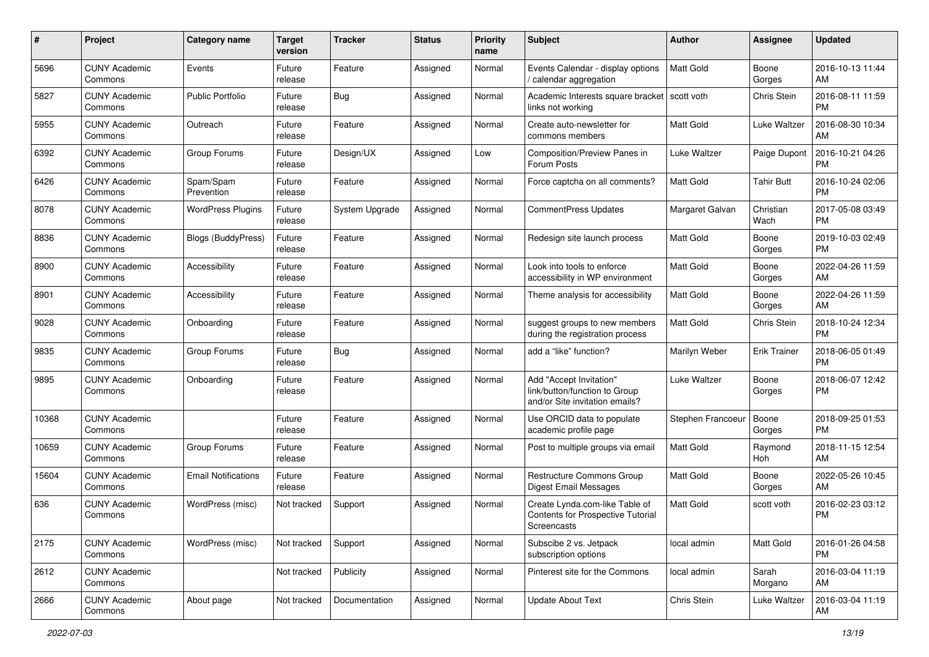| #     | Project                         | <b>Category name</b>       | <b>Target</b><br>version | <b>Tracker</b> | <b>Status</b> | <b>Priority</b><br>name | <b>Subject</b>                                                                             | <b>Author</b>     | <b>Assignee</b>     | <b>Updated</b>                |
|-------|---------------------------------|----------------------------|--------------------------|----------------|---------------|-------------------------|--------------------------------------------------------------------------------------------|-------------------|---------------------|-------------------------------|
| 5696  | <b>CUNY Academic</b><br>Commons | Events                     | Future<br>release        | Feature        | Assigned      | Normal                  | Events Calendar - display options<br>/ calendar aggregation                                | <b>Matt Gold</b>  | Boone<br>Gorges     | 2016-10-13 11:44<br>AM.       |
| 5827  | <b>CUNY Academic</b><br>Commons | <b>Public Portfolio</b>    | Future<br>release        | Bug            | Assigned      | Normal                  | Academic Interests square bracket<br>links not working                                     | scott voth        | Chris Stein         | 2016-08-11 11:59<br><b>PM</b> |
| 5955  | <b>CUNY Academic</b><br>Commons | Outreach                   | Future<br>release        | Feature        | Assigned      | Normal                  | Create auto-newsletter for<br>commons members                                              | Matt Gold         | Luke Waltzer        | 2016-08-30 10:34<br>AM        |
| 6392  | <b>CUNY Academic</b><br>Commons | Group Forums               | Future<br>release        | Design/UX      | Assigned      | Low                     | Composition/Preview Panes in<br>Forum Posts                                                | Luke Waltzer      | Paige Dupont        | 2016-10-21 04:26<br><b>PM</b> |
| 6426  | <b>CUNY Academic</b><br>Commons | Spam/Spam<br>Prevention    | Future<br>release        | Feature        | Assigned      | Normal                  | Force captcha on all comments?                                                             | Matt Gold         | <b>Tahir Butt</b>   | 2016-10-24 02:06<br><b>PM</b> |
| 8078  | <b>CUNY Academic</b><br>Commons | <b>WordPress Plugins</b>   | Future<br>release        | System Upgrade | Assigned      | Normal                  | <b>CommentPress Updates</b>                                                                | Margaret Galvan   | Christian<br>Wach   | 2017-05-08 03:49<br><b>PM</b> |
| 8836  | <b>CUNY Academic</b><br>Commons | <b>Blogs (BuddyPress)</b>  | Future<br>release        | Feature        | Assigned      | Normal                  | Redesign site launch process                                                               | Matt Gold         | Boone<br>Gorges     | 2019-10-03 02:49<br>PM.       |
| 8900  | <b>CUNY Academic</b><br>Commons | Accessibility              | Future<br>release        | Feature        | Assigned      | Normal                  | Look into tools to enforce<br>accessibility in WP environment                              | <b>Matt Gold</b>  | Boone<br>Gorges     | 2022-04-26 11:59<br>AM.       |
| 8901  | <b>CUNY Academic</b><br>Commons | Accessibility              | Future<br>release        | Feature        | Assigned      | Normal                  | Theme analysis for accessibility                                                           | <b>Matt Gold</b>  | Boone<br>Gorges     | 2022-04-26 11:59<br>AM.       |
| 9028  | <b>CUNY Academic</b><br>Commons | Onboarding                 | Future<br>release        | Feature        | Assigned      | Normal                  | suggest groups to new members<br>during the registration process                           | Matt Gold         | Chris Stein         | 2018-10-24 12:34<br><b>PM</b> |
| 9835  | <b>CUNY Academic</b><br>Commons | Group Forums               | Future<br>release        | Bug            | Assigned      | Normal                  | add a "like" function?                                                                     | Marilyn Weber     | <b>Erik Trainer</b> | 2018-06-05 01:49<br><b>PM</b> |
| 9895  | <b>CUNY Academic</b><br>Commons | Onboarding                 | Future<br>release        | Feature        | Assigned      | Normal                  | Add "Accept Invitation"<br>link/button/function to Group<br>and/or Site invitation emails? | Luke Waltzer      | Boone<br>Gorges     | 2018-06-07 12:42<br><b>PM</b> |
| 10368 | <b>CUNY Academic</b><br>Commons |                            | Future<br>release        | Feature        | Assigned      | Normal                  | Use ORCID data to populate<br>academic profile page                                        | Stephen Francoeur | Boone<br>Gorges     | 2018-09-25 01:53<br><b>PM</b> |
| 10659 | <b>CUNY Academic</b><br>Commons | Group Forums               | Future<br>release        | Feature        | Assigned      | Normal                  | Post to multiple groups via email                                                          | Matt Gold         | Raymond<br>Hoh      | 2018-11-15 12:54<br>AM        |
| 15604 | <b>CUNY Academic</b><br>Commons | <b>Email Notifications</b> | Future<br>release        | Feature        | Assigned      | Normal                  | <b>Restructure Commons Group</b><br><b>Digest Email Messages</b>                           | <b>Matt Gold</b>  | Boone<br>Gorges     | 2022-05-26 10:45<br>AM.       |
| 636   | <b>CUNY Academic</b><br>Commons | WordPress (misc)           | Not tracked              | Support        | Assigned      | Normal                  | Create Lynda.com-like Table of<br>Contents for Prospective Tutorial<br>Screencasts         | <b>Matt Gold</b>  | scott voth          | 2016-02-23 03:12<br><b>PM</b> |
| 2175  | <b>CUNY Academic</b><br>Commons | WordPress (misc)           | Not tracked              | Support        | Assigned      | Normal                  | Subscibe 2 vs. Jetpack<br>subscription options                                             | local admin       | Matt Gold           | 2016-01-26 04:58<br>PM        |
| 2612  | <b>CUNY Academic</b><br>Commons |                            | Not tracked              | Publicity      | Assigned      | Normal                  | Pinterest site for the Commons                                                             | local admin       | Sarah<br>Morgano    | 2016-03-04 11:19<br>AM        |
| 2666  | <b>CUNY Academic</b><br>Commons | About page                 | Not tracked              | Documentation  | Assigned      | Normal                  | <b>Update About Text</b>                                                                   | Chris Stein       | Luke Waltzer        | 2016-03-04 11:19<br>AM        |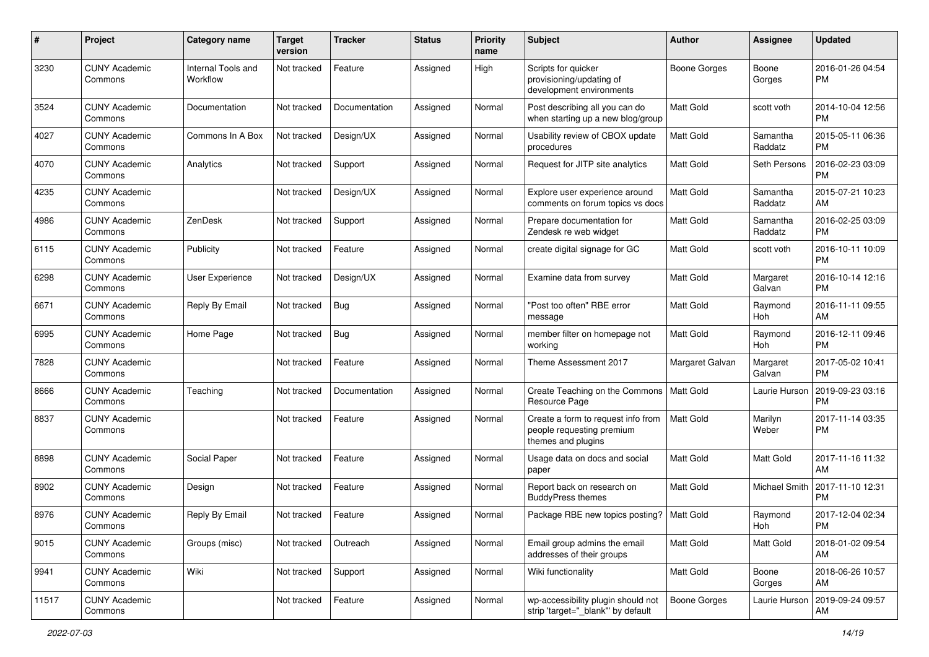| #     | Project                         | <b>Category name</b>           | <b>Target</b><br>version | Tracker       | <b>Status</b> | <b>Priority</b><br>name | <b>Subject</b>                                                                        | Author           | <b>Assignee</b>     | <b>Updated</b>                |
|-------|---------------------------------|--------------------------------|--------------------------|---------------|---------------|-------------------------|---------------------------------------------------------------------------------------|------------------|---------------------|-------------------------------|
| 3230  | <b>CUNY Academic</b><br>Commons | Internal Tools and<br>Workflow | Not tracked              | Feature       | Assigned      | High                    | Scripts for quicker<br>provisioning/updating of<br>development environments           | Boone Gorges     | Boone<br>Gorges     | 2016-01-26 04:54<br><b>PM</b> |
| 3524  | <b>CUNY Academic</b><br>Commons | Documentation                  | Not tracked              | Documentation | Assigned      | Normal                  | Post describing all you can do<br>when starting up a new blog/group                   | <b>Matt Gold</b> | scott voth          | 2014-10-04 12:56<br><b>PM</b> |
| 4027  | <b>CUNY Academic</b><br>Commons | Commons In A Box               | Not tracked              | Design/UX     | Assigned      | Normal                  | Usability review of CBOX update<br>procedures                                         | Matt Gold        | Samantha<br>Raddatz | 2015-05-11 06:36<br><b>PM</b> |
| 4070  | <b>CUNY Academic</b><br>Commons | Analytics                      | Not tracked              | Support       | Assigned      | Normal                  | Request for JITP site analytics                                                       | <b>Matt Gold</b> | Seth Persons        | 2016-02-23 03:09<br><b>PM</b> |
| 4235  | <b>CUNY Academic</b><br>Commons |                                | Not tracked              | Design/UX     | Assigned      | Normal                  | Explore user experience around<br>comments on forum topics vs docs                    | Matt Gold        | Samantha<br>Raddatz | 2015-07-21 10:23<br>AM        |
| 4986  | <b>CUNY Academic</b><br>Commons | ZenDesk                        | Not tracked              | Support       | Assigned      | Normal                  | Prepare documentation for<br>Zendesk re web widget                                    | <b>Matt Gold</b> | Samantha<br>Raddatz | 2016-02-25 03:09<br><b>PM</b> |
| 6115  | <b>CUNY Academic</b><br>Commons | Publicity                      | Not tracked              | Feature       | Assigned      | Normal                  | create digital signage for GC                                                         | <b>Matt Gold</b> | scott voth          | 2016-10-11 10:09<br><b>PM</b> |
| 6298  | <b>CUNY Academic</b><br>Commons | User Experience                | Not tracked              | Design/UX     | Assigned      | Normal                  | Examine data from survey                                                              | <b>Matt Gold</b> | Margaret<br>Galvan  | 2016-10-14 12:16<br><b>PM</b> |
| 6671  | <b>CUNY Academic</b><br>Commons | Reply By Email                 | Not tracked              | Bug           | Assigned      | Normal                  | "Post too often" RBE error<br>message                                                 | <b>Matt Gold</b> | Raymond<br>Hoh      | 2016-11-11 09:55<br>AM        |
| 6995  | <b>CUNY Academic</b><br>Commons | Home Page                      | Not tracked              | <b>Bug</b>    | Assigned      | Normal                  | member filter on homepage not<br>working                                              | Matt Gold        | Raymond<br>Hoh      | 2016-12-11 09:46<br><b>PM</b> |
| 7828  | <b>CUNY Academic</b><br>Commons |                                | Not tracked              | Feature       | Assigned      | Normal                  | Theme Assessment 2017                                                                 | Margaret Galvan  | Margaret<br>Galvan  | 2017-05-02 10:41<br><b>PM</b> |
| 8666  | <b>CUNY Academic</b><br>Commons | Teaching                       | Not tracked              | Documentation | Assigned      | Normal                  | Create Teaching on the Commons<br>Resource Page                                       | Matt Gold        | Laurie Hurson       | 2019-09-23 03:16<br><b>PM</b> |
| 8837  | <b>CUNY Academic</b><br>Commons |                                | Not tracked              | Feature       | Assigned      | Normal                  | Create a form to request info from<br>people requesting premium<br>themes and plugins | Matt Gold        | Marilyn<br>Weber    | 2017-11-14 03:35<br><b>PM</b> |
| 8898  | <b>CUNY Academic</b><br>Commons | Social Paper                   | Not tracked              | Feature       | Assigned      | Normal                  | Usage data on docs and social<br>paper                                                | <b>Matt Gold</b> | Matt Gold           | 2017-11-16 11:32<br>AM        |
| 8902  | <b>CUNY Academic</b><br>Commons | Design                         | Not tracked              | Feature       | Assigned      | Normal                  | Report back on research on<br><b>BuddyPress themes</b>                                | Matt Gold        | Michael Smith       | 2017-11-10 12:31<br><b>PM</b> |
| 8976  | <b>CUNY Academic</b><br>Commons | Reply By Email                 | Not tracked              | Feature       | Assigned      | Normal                  | Package RBE new topics posting?   Matt Gold                                           |                  | Raymond<br>Hoh      | 2017-12-04 02:34<br>PM        |
| 9015  | <b>CUNY Academic</b><br>Commons | Groups (misc)                  | Not tracked              | Outreach      | Assigned      | Normal                  | Email group admins the email<br>addresses of their groups                             | Matt Gold        | Matt Gold           | 2018-01-02 09:54<br>AM        |
| 9941  | <b>CUNY Academic</b><br>Commons | Wiki                           | Not tracked              | Support       | Assigned      | Normal                  | Wiki functionality                                                                    | Matt Gold        | Boone<br>Gorges     | 2018-06-26 10:57<br>AM        |
| 11517 | <b>CUNY Academic</b><br>Commons |                                | Not tracked              | Feature       | Assigned      | Normal                  | wp-accessibility plugin should not<br>strip 'target=" blank" by default               | Boone Gorges     | Laurie Hurson       | 2019-09-24 09:57<br>AM        |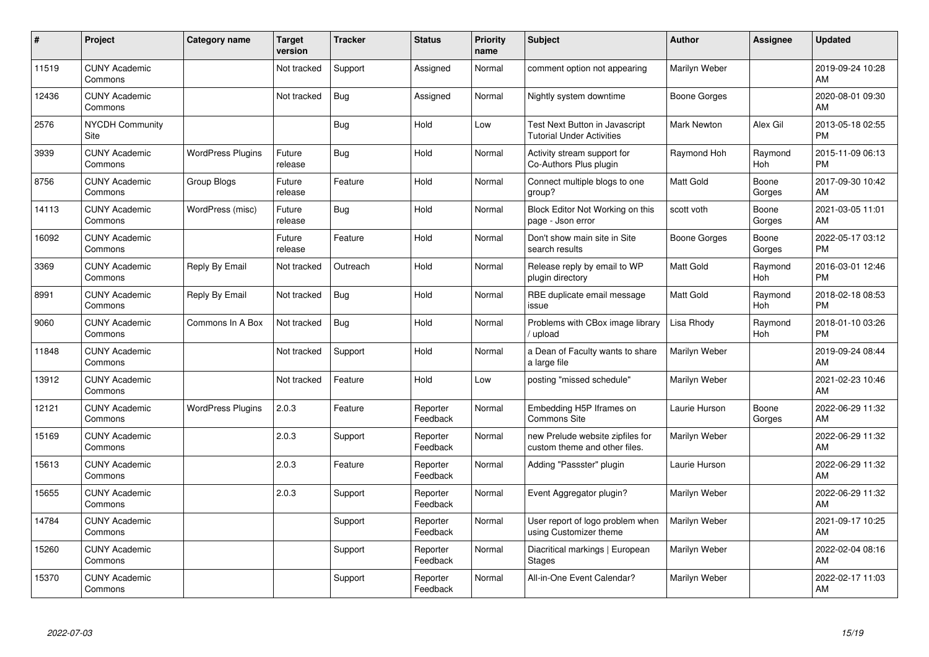| #     | Project                         | <b>Category name</b>     | <b>Target</b><br>version | <b>Tracker</b> | <b>Status</b>        | <b>Priority</b><br>name | <b>Subject</b>                                                     | <b>Author</b>      | <b>Assignee</b> | <b>Updated</b>                |
|-------|---------------------------------|--------------------------|--------------------------|----------------|----------------------|-------------------------|--------------------------------------------------------------------|--------------------|-----------------|-------------------------------|
| 11519 | <b>CUNY Academic</b><br>Commons |                          | Not tracked              | Support        | Assigned             | Normal                  | comment option not appearing                                       | Marilyn Weber      |                 | 2019-09-24 10:28<br>AM        |
| 12436 | <b>CUNY Academic</b><br>Commons |                          | Not tracked              | Bug            | Assigned             | Normal                  | Nightly system downtime                                            | Boone Gorges       |                 | 2020-08-01 09:30<br>AM        |
| 2576  | <b>NYCDH Community</b><br>Site  |                          |                          | Bug            | Hold                 | Low                     | Test Next Button in Javascript<br><b>Tutorial Under Activities</b> | <b>Mark Newton</b> | Alex Gil        | 2013-05-18 02:55<br><b>PM</b> |
| 3939  | <b>CUNY Academic</b><br>Commons | <b>WordPress Plugins</b> | Future<br>release        | Bug            | Hold                 | Normal                  | Activity stream support for<br>Co-Authors Plus plugin              | Raymond Hoh        | Raymond<br>Hoh  | 2015-11-09 06:13<br><b>PM</b> |
| 8756  | <b>CUNY Academic</b><br>Commons | Group Blogs              | Future<br>release        | Feature        | Hold                 | Normal                  | Connect multiple blogs to one<br>group?                            | <b>Matt Gold</b>   | Boone<br>Gorges | 2017-09-30 10:42<br>AM        |
| 14113 | <b>CUNY Academic</b><br>Commons | WordPress (misc)         | Future<br>release        | Bug            | Hold                 | Normal                  | Block Editor Not Working on this<br>page - Json error              | scott voth         | Boone<br>Gorges | 2021-03-05 11:01<br>AM        |
| 16092 | <b>CUNY Academic</b><br>Commons |                          | Future<br>release        | Feature        | Hold                 | Normal                  | Don't show main site in Site<br>search results                     | Boone Gorges       | Boone<br>Gorges | 2022-05-17 03:12<br><b>PM</b> |
| 3369  | <b>CUNY Academic</b><br>Commons | Reply By Email           | Not tracked              | Outreach       | Hold                 | Normal                  | Release reply by email to WP<br>plugin directory                   | <b>Matt Gold</b>   | Raymond<br>Hoh  | 2016-03-01 12:46<br><b>PM</b> |
| 8991  | <b>CUNY Academic</b><br>Commons | Reply By Email           | Not tracked              | Bug            | Hold                 | Normal                  | RBE duplicate email message<br>issue                               | <b>Matt Gold</b>   | Raymond<br>Hoh  | 2018-02-18 08:53<br><b>PM</b> |
| 9060  | <b>CUNY Academic</b><br>Commons | Commons In A Box         | Not tracked              | Bug            | Hold                 | Normal                  | Problems with CBox image library<br>upload                         | Lisa Rhody         | Raymond<br>Hoh  | 2018-01-10 03:26<br><b>PM</b> |
| 11848 | <b>CUNY Academic</b><br>Commons |                          | Not tracked              | Support        | Hold                 | Normal                  | a Dean of Faculty wants to share<br>a large file                   | Marilyn Weber      |                 | 2019-09-24 08:44<br>AM        |
| 13912 | <b>CUNY Academic</b><br>Commons |                          | Not tracked              | Feature        | Hold                 | Low                     | posting "missed schedule"                                          | Marilyn Weber      |                 | 2021-02-23 10:46<br>AM        |
| 12121 | <b>CUNY Academic</b><br>Commons | <b>WordPress Plugins</b> | 2.0.3                    | Feature        | Reporter<br>Feedback | Normal                  | Embedding H5P Iframes on<br><b>Commons Site</b>                    | Laurie Hurson      | Boone<br>Gorges | 2022-06-29 11:32<br>AM        |
| 15169 | <b>CUNY Academic</b><br>Commons |                          | 2.0.3                    | Support        | Reporter<br>Feedback | Normal                  | new Prelude website zipfiles for<br>custom theme and other files.  | Marilyn Weber      |                 | 2022-06-29 11:32<br>AM        |
| 15613 | <b>CUNY Academic</b><br>Commons |                          | 2.0.3                    | Feature        | Reporter<br>Feedback | Normal                  | Adding "Passster" plugin                                           | Laurie Hurson      |                 | 2022-06-29 11:32<br>AM        |
| 15655 | <b>CUNY Academic</b><br>Commons |                          | 2.0.3                    | Support        | Reporter<br>Feedback | Normal                  | Event Aggregator plugin?                                           | Marilyn Weber      |                 | 2022-06-29 11:32<br>AM        |
| 14784 | <b>CUNY Academic</b><br>Commons |                          |                          | Support        | Reporter<br>Feedback | Normal                  | User report of logo problem when<br>using Customizer theme         | Marilyn Weber      |                 | 2021-09-17 10:25<br>AM        |
| 15260 | <b>CUNY Academic</b><br>Commons |                          |                          | Support        | Reporter<br>Feedback | Normal                  | Diacritical markings   European<br><b>Stages</b>                   | Marilyn Weber      |                 | 2022-02-04 08:16<br>AM        |
| 15370 | <b>CUNY Academic</b><br>Commons |                          |                          | Support        | Reporter<br>Feedback | Normal                  | All-in-One Event Calendar?                                         | Marilyn Weber      |                 | 2022-02-17 11:03<br>AM        |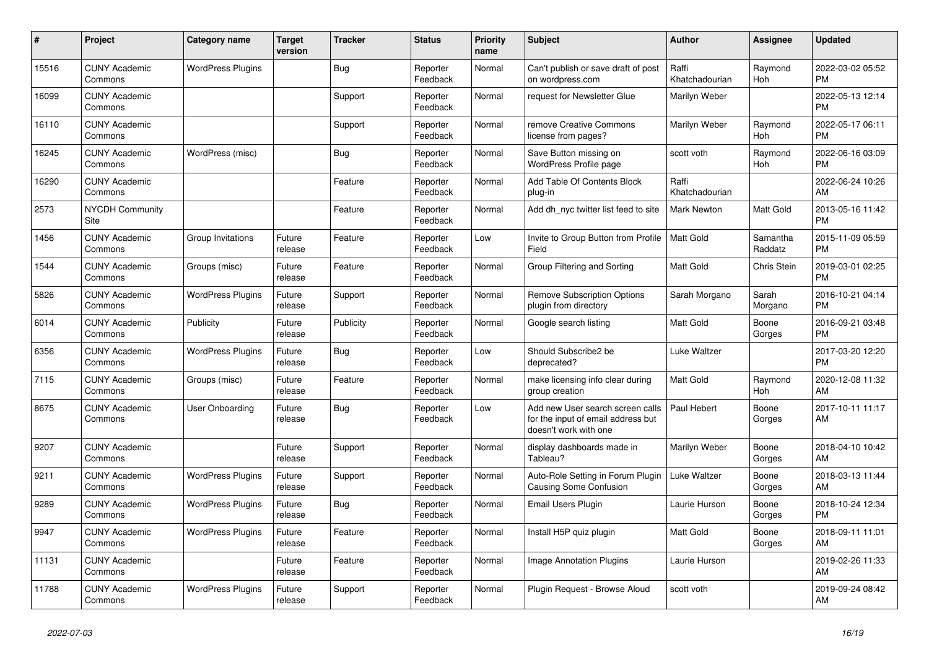| #     | Project                         | <b>Category name</b>     | <b>Target</b><br>version | <b>Tracker</b> | <b>Status</b>        | <b>Priority</b><br>name | <b>Subject</b>                                                                                  | <b>Author</b>           | Assignee            | <b>Updated</b>                |
|-------|---------------------------------|--------------------------|--------------------------|----------------|----------------------|-------------------------|-------------------------------------------------------------------------------------------------|-------------------------|---------------------|-------------------------------|
| 15516 | <b>CUNY Academic</b><br>Commons | <b>WordPress Plugins</b> |                          | Bug            | Reporter<br>Feedback | Normal                  | Can't publish or save draft of post<br>on wordpress.com                                         | Raffi<br>Khatchadourian | Raymond<br>Hoh      | 2022-03-02 05:52<br><b>PM</b> |
| 16099 | <b>CUNY Academic</b><br>Commons |                          |                          | Support        | Reporter<br>Feedback | Normal                  | request for Newsletter Glue                                                                     | Marilyn Weber           |                     | 2022-05-13 12:14<br><b>PM</b> |
| 16110 | <b>CUNY Academic</b><br>Commons |                          |                          | Support        | Reporter<br>Feedback | Normal                  | remove Creative Commons<br>license from pages?                                                  | Marilyn Weber           | Raymond<br>Hoh      | 2022-05-17 06:11<br><b>PM</b> |
| 16245 | <b>CUNY Academic</b><br>Commons | WordPress (misc)         |                          | <b>Bug</b>     | Reporter<br>Feedback | Normal                  | Save Button missing on<br>WordPress Profile page                                                | scott voth              | Raymond<br>Hoh      | 2022-06-16 03:09<br><b>PM</b> |
| 16290 | <b>CUNY Academic</b><br>Commons |                          |                          | Feature        | Reporter<br>Feedback | Normal                  | Add Table Of Contents Block<br>plug-in                                                          | Raffi<br>Khatchadourian |                     | 2022-06-24 10:26<br>AM        |
| 2573  | <b>NYCDH Community</b><br>Site  |                          |                          | Feature        | Reporter<br>Feedback | Normal                  | Add dh nyc twitter list feed to site                                                            | <b>Mark Newton</b>      | Matt Gold           | 2013-05-16 11:42<br><b>PM</b> |
| 1456  | <b>CUNY Academic</b><br>Commons | Group Invitations        | Future<br>release        | Feature        | Reporter<br>Feedback | Low                     | Invite to Group Button from Profile<br>Field                                                    | Matt Gold               | Samantha<br>Raddatz | 2015-11-09 05:59<br><b>PM</b> |
| 1544  | <b>CUNY Academic</b><br>Commons | Groups (misc)            | Future<br>release        | Feature        | Reporter<br>Feedback | Normal                  | Group Filtering and Sorting                                                                     | <b>Matt Gold</b>        | <b>Chris Stein</b>  | 2019-03-01 02:25<br><b>PM</b> |
| 5826  | <b>CUNY Academic</b><br>Commons | <b>WordPress Plugins</b> | Future<br>release        | Support        | Reporter<br>Feedback | Normal                  | <b>Remove Subscription Options</b><br>plugin from directory                                     | Sarah Morgano           | Sarah<br>Morgano    | 2016-10-21 04:14<br><b>PM</b> |
| 6014  | <b>CUNY Academic</b><br>Commons | Publicity                | Future<br>release        | Publicity      | Reporter<br>Feedback | Normal                  | Google search listing                                                                           | <b>Matt Gold</b>        | Boone<br>Gorges     | 2016-09-21 03:48<br><b>PM</b> |
| 6356  | <b>CUNY Academic</b><br>Commons | <b>WordPress Plugins</b> | Future<br>release        | <b>Bug</b>     | Reporter<br>Feedback | Low                     | Should Subscribe2 be<br>deprecated?                                                             | Luke Waltzer            |                     | 2017-03-20 12:20<br><b>PM</b> |
| 7115  | <b>CUNY Academic</b><br>Commons | Groups (misc)            | Future<br>release        | Feature        | Reporter<br>Feedback | Normal                  | make licensing info clear during<br>group creation                                              | <b>Matt Gold</b>        | Raymond<br>Hoh      | 2020-12-08 11:32<br>AM        |
| 8675  | <b>CUNY Academic</b><br>Commons | <b>User Onboarding</b>   | Future<br>release        | <b>Bug</b>     | Reporter<br>Feedback | Low                     | Add new User search screen calls<br>for the input of email address but<br>doesn't work with one | Paul Hebert             | Boone<br>Gorges     | 2017-10-11 11:17<br>AM        |
| 9207  | <b>CUNY Academic</b><br>Commons |                          | Future<br>release        | Support        | Reporter<br>Feedback | Normal                  | display dashboards made in<br>Tableau?                                                          | Marilyn Weber           | Boone<br>Gorges     | 2018-04-10 10:42<br>AM        |
| 9211  | <b>CUNY Academic</b><br>Commons | <b>WordPress Plugins</b> | Future<br>release        | Support        | Reporter<br>Feedback | Normal                  | Auto-Role Setting in Forum Plugin<br><b>Causing Some Confusion</b>                              | Luke Waltzer            | Boone<br>Gorges     | 2018-03-13 11:44<br>AM        |
| 9289  | <b>CUNY Academic</b><br>Commons | <b>WordPress Plugins</b> | Future<br>release        | Bug            | Reporter<br>Feedback | Normal                  | Email Users Plugin                                                                              | Laurie Hurson           | Boone<br>Gorges     | 2018-10-24 12:34<br><b>PM</b> |
| 9947  | <b>CUNY Academic</b><br>Commons | <b>WordPress Plugins</b> | Future<br>release        | Feature        | Reporter<br>Feedback | Normal                  | Install H5P quiz plugin                                                                         | <b>Matt Gold</b>        | Boone<br>Gorges     | 2018-09-11 11:01<br>AM        |
| 11131 | <b>CUNY Academic</b><br>Commons |                          | Future<br>release        | Feature        | Reporter<br>Feedback | Normal                  | Image Annotation Plugins                                                                        | Laurie Hurson           |                     | 2019-02-26 11:33<br>AM        |
| 11788 | <b>CUNY Academic</b><br>Commons | <b>WordPress Plugins</b> | Future<br>release        | Support        | Reporter<br>Feedback | Normal                  | Plugin Request - Browse Aloud                                                                   | scott voth              |                     | 2019-09-24 08:42<br>AM        |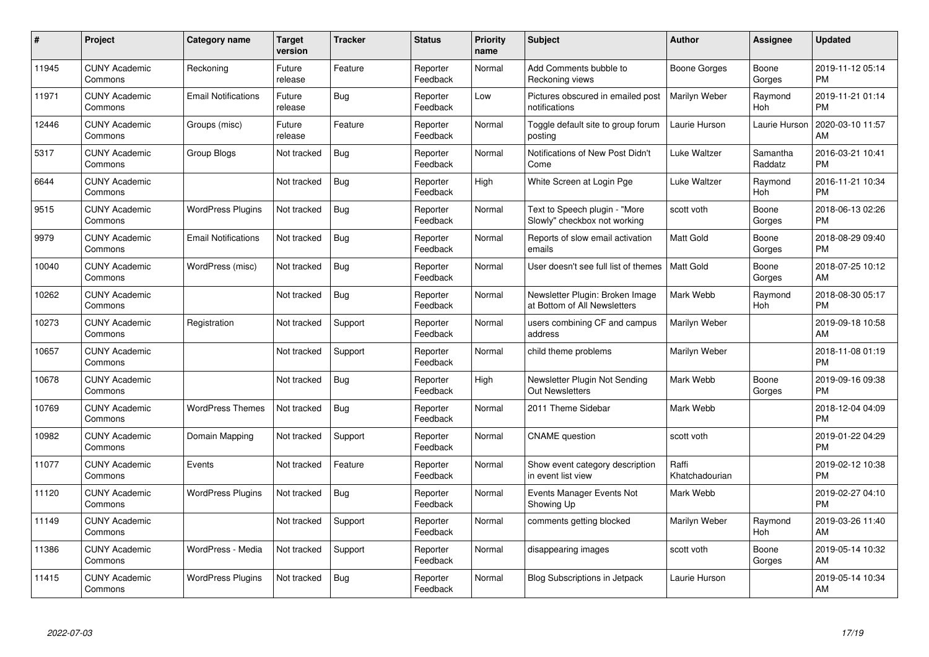| #     | Project                         | <b>Category name</b>       | Target<br>version | <b>Tracker</b> | <b>Status</b>        | Priority<br>name | <b>Subject</b>                                                  | <b>Author</b>           | <b>Assignee</b>     | <b>Updated</b>                |
|-------|---------------------------------|----------------------------|-------------------|----------------|----------------------|------------------|-----------------------------------------------------------------|-------------------------|---------------------|-------------------------------|
| 11945 | <b>CUNY Academic</b><br>Commons | Reckoning                  | Future<br>release | Feature        | Reporter<br>Feedback | Normal           | Add Comments bubble to<br>Reckoning views                       | Boone Gorges            | Boone<br>Gorges     | 2019-11-12 05:14<br><b>PM</b> |
| 11971 | <b>CUNY Academic</b><br>Commons | <b>Email Notifications</b> | Future<br>release | Bug            | Reporter<br>Feedback | Low              | Pictures obscured in emailed post<br>notifications              | Marilyn Weber           | Raymond<br>Hoh      | 2019-11-21 01:14<br><b>PM</b> |
| 12446 | <b>CUNY Academic</b><br>Commons | Groups (misc)              | Future<br>release | Feature        | Reporter<br>Feedback | Normal           | Toggle default site to group forum<br>posting                   | Laurie Hurson           | Laurie Hurson       | 2020-03-10 11:57<br>AM        |
| 5317  | <b>CUNY Academic</b><br>Commons | Group Blogs                | Not tracked       | <b>Bug</b>     | Reporter<br>Feedback | Normal           | Notifications of New Post Didn't<br>Come                        | Luke Waltzer            | Samantha<br>Raddatz | 2016-03-21 10:41<br><b>PM</b> |
| 6644  | <b>CUNY Academic</b><br>Commons |                            | Not tracked       | Bug            | Reporter<br>Feedback | High             | White Screen at Login Pge                                       | Luke Waltzer            | Raymond<br>Hoh      | 2016-11-21 10:34<br><b>PM</b> |
| 9515  | <b>CUNY Academic</b><br>Commons | <b>WordPress Plugins</b>   | Not tracked       | Bug            | Reporter<br>Feedback | Normal           | Text to Speech plugin - "More<br>Slowly" checkbox not working   | scott voth              | Boone<br>Gorges     | 2018-06-13 02:26<br><b>PM</b> |
| 9979  | <b>CUNY Academic</b><br>Commons | <b>Email Notifications</b> | Not tracked       | <b>Bug</b>     | Reporter<br>Feedback | Normal           | Reports of slow email activation<br>emails                      | <b>Matt Gold</b>        | Boone<br>Gorges     | 2018-08-29 09:40<br><b>PM</b> |
| 10040 | <b>CUNY Academic</b><br>Commons | WordPress (misc)           | Not tracked       | Bug            | Reporter<br>Feedback | Normal           | User doesn't see full list of themes                            | <b>Matt Gold</b>        | Boone<br>Gorges     | 2018-07-25 10:12<br>AM        |
| 10262 | <b>CUNY Academic</b><br>Commons |                            | Not tracked       | Bug            | Reporter<br>Feedback | Normal           | Newsletter Plugin: Broken Image<br>at Bottom of All Newsletters | Mark Webb               | Raymond<br>Hoh      | 2018-08-30 05:17<br><b>PM</b> |
| 10273 | <b>CUNY Academic</b><br>Commons | Registration               | Not tracked       | Support        | Reporter<br>Feedback | Normal           | users combining CF and campus<br>address                        | Marilyn Weber           |                     | 2019-09-18 10:58<br>AM        |
| 10657 | <b>CUNY Academic</b><br>Commons |                            | Not tracked       | Support        | Reporter<br>Feedback | Normal           | child theme problems                                            | Marilyn Weber           |                     | 2018-11-08 01:19<br><b>PM</b> |
| 10678 | <b>CUNY Academic</b><br>Commons |                            | Not tracked       | Bug            | Reporter<br>Feedback | High             | Newsletter Plugin Not Sending<br><b>Out Newsletters</b>         | Mark Webb               | Boone<br>Gorges     | 2019-09-16 09:38<br><b>PM</b> |
| 10769 | <b>CUNY Academic</b><br>Commons | <b>WordPress Themes</b>    | Not tracked       | Bug            | Reporter<br>Feedback | Normal           | 2011 Theme Sidebar                                              | Mark Webb               |                     | 2018-12-04 04:09<br><b>PM</b> |
| 10982 | <b>CUNY Academic</b><br>Commons | Domain Mapping             | Not tracked       | Support        | Reporter<br>Feedback | Normal           | <b>CNAME</b> question                                           | scott voth              |                     | 2019-01-22 04:29<br><b>PM</b> |
| 11077 | <b>CUNY Academic</b><br>Commons | Events                     | Not tracked       | Feature        | Reporter<br>Feedback | Normal           | Show event category description<br>in event list view           | Raffi<br>Khatchadourian |                     | 2019-02-12 10:38<br><b>PM</b> |
| 11120 | <b>CUNY Academic</b><br>Commons | <b>WordPress Plugins</b>   | Not tracked       | <b>Bug</b>     | Reporter<br>Feedback | Normal           | Events Manager Events Not<br>Showing Up                         | Mark Webb               |                     | 2019-02-27 04:10<br><b>PM</b> |
| 11149 | <b>CUNY Academic</b><br>Commons |                            | Not tracked       | Support        | Reporter<br>Feedback | Normal           | comments getting blocked                                        | Marilyn Weber           | Raymond<br>Hoh      | 2019-03-26 11:40<br>AM        |
| 11386 | <b>CUNY Academic</b><br>Commons | WordPress - Media          | Not tracked       | Support        | Reporter<br>Feedback | Normal           | disappearing images                                             | scott voth              | Boone<br>Gorges     | 2019-05-14 10:32<br>AM.       |
| 11415 | <b>CUNY Academic</b><br>Commons | <b>WordPress Plugins</b>   | Not tracked       | Bug            | Reporter<br>Feedback | Normal           | <b>Blog Subscriptions in Jetpack</b>                            | Laurie Hurson           |                     | 2019-05-14 10:34<br>AM        |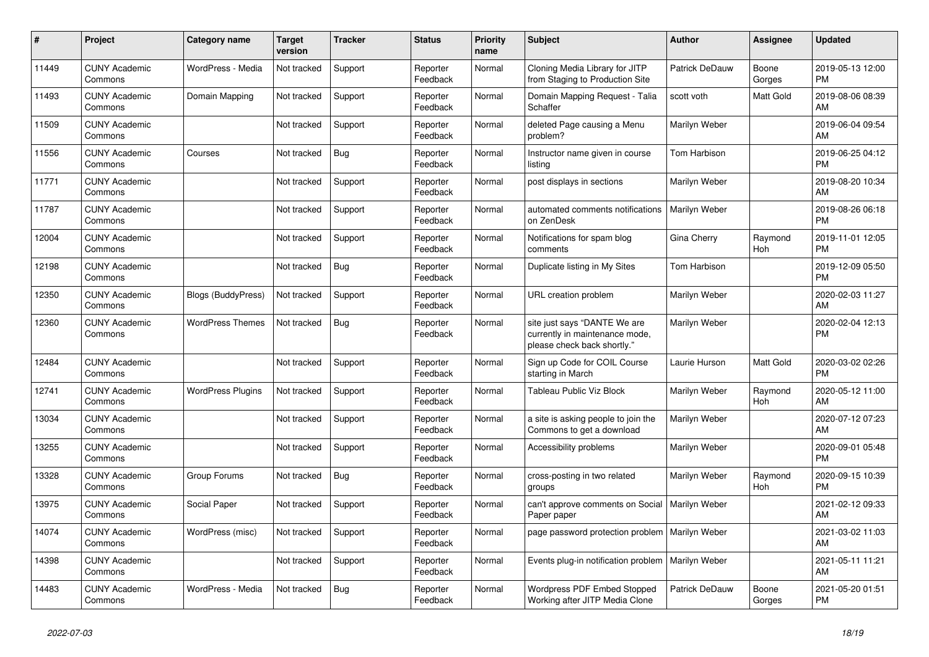| #     | <b>Project</b>                  | Category name             | Target<br>version | <b>Tracker</b> | <b>Status</b>        | <b>Priority</b><br>name | <b>Subject</b>                                                                                | <b>Author</b>        | Assignee        | <b>Updated</b>                |
|-------|---------------------------------|---------------------------|-------------------|----------------|----------------------|-------------------------|-----------------------------------------------------------------------------------------------|----------------------|-----------------|-------------------------------|
| 11449 | <b>CUNY Academic</b><br>Commons | WordPress - Media         | Not tracked       | Support        | Reporter<br>Feedback | Normal                  | Cloning Media Library for JITP<br>from Staging to Production Site                             | Patrick DeDauw       | Boone<br>Gorges | 2019-05-13 12:00<br><b>PM</b> |
| 11493 | <b>CUNY Academic</b><br>Commons | Domain Mapping            | Not tracked       | Support        | Reporter<br>Feedback | Normal                  | Domain Mapping Request - Talia<br>Schaffer                                                    | scott voth           | Matt Gold       | 2019-08-06 08:39<br>AM        |
| 11509 | <b>CUNY Academic</b><br>Commons |                           | Not tracked       | Support        | Reporter<br>Feedback | Normal                  | deleted Page causing a Menu<br>problem?                                                       | Marilyn Weber        |                 | 2019-06-04 09:54<br>AM        |
| 11556 | <b>CUNY Academic</b><br>Commons | Courses                   | Not tracked       | Bug            | Reporter<br>Feedback | Normal                  | Instructor name given in course<br>listina                                                    | Tom Harbison         |                 | 2019-06-25 04:12<br><b>PM</b> |
| 11771 | <b>CUNY Academic</b><br>Commons |                           | Not tracked       | Support        | Reporter<br>Feedback | Normal                  | post displays in sections                                                                     | Marilyn Weber        |                 | 2019-08-20 10:34<br>AM        |
| 11787 | <b>CUNY Academic</b><br>Commons |                           | Not tracked       | Support        | Reporter<br>Feedback | Normal                  | automated comments notifications<br>on ZenDesk                                                | <b>Marilyn Weber</b> |                 | 2019-08-26 06:18<br><b>PM</b> |
| 12004 | <b>CUNY Academic</b><br>Commons |                           | Not tracked       | Support        | Reporter<br>Feedback | Normal                  | Notifications for spam blog<br>comments                                                       | Gina Cherry          | Raymond<br>Hoh  | 2019-11-01 12:05<br><b>PM</b> |
| 12198 | <b>CUNY Academic</b><br>Commons |                           | Not tracked       | Bug            | Reporter<br>Feedback | Normal                  | Duplicate listing in My Sites                                                                 | Tom Harbison         |                 | 2019-12-09 05:50<br><b>PM</b> |
| 12350 | <b>CUNY Academic</b><br>Commons | <b>Blogs (BuddyPress)</b> | Not tracked       | Support        | Reporter<br>Feedback | Normal                  | URL creation problem                                                                          | Marilyn Weber        |                 | 2020-02-03 11:27<br>AM        |
| 12360 | <b>CUNY Academic</b><br>Commons | <b>WordPress Themes</b>   | Not tracked       | Bug            | Reporter<br>Feedback | Normal                  | site just says "DANTE We are<br>currently in maintenance mode,<br>please check back shortly.' | Marilyn Weber        |                 | 2020-02-04 12:13<br><b>PM</b> |
| 12484 | <b>CUNY Academic</b><br>Commons |                           | Not tracked       | Support        | Reporter<br>Feedback | Normal                  | Sign up Code for COIL Course<br>starting in March                                             | Laurie Hurson        | Matt Gold       | 2020-03-02 02:26<br><b>PM</b> |
| 12741 | <b>CUNY Academic</b><br>Commons | <b>WordPress Plugins</b>  | Not tracked       | Support        | Reporter<br>Feedback | Normal                  | Tableau Public Viz Block                                                                      | Marilyn Weber        | Raymond<br>Hoh  | 2020-05-12 11:00<br>AM        |
| 13034 | <b>CUNY Academic</b><br>Commons |                           | Not tracked       | Support        | Reporter<br>Feedback | Normal                  | a site is asking people to join the<br>Commons to get a download                              | Marilyn Weber        |                 | 2020-07-12 07:23<br>AM        |
| 13255 | <b>CUNY Academic</b><br>Commons |                           | Not tracked       | Support        | Reporter<br>Feedback | Normal                  | Accessibility problems                                                                        | Marilyn Weber        |                 | 2020-09-01 05:48<br><b>PM</b> |
| 13328 | <b>CUNY Academic</b><br>Commons | Group Forums              | Not tracked       | <b>Bug</b>     | Reporter<br>Feedback | Normal                  | cross-posting in two related<br>groups                                                        | Marilyn Weber        | Raymond<br>Hoh  | 2020-09-15 10:39<br><b>PM</b> |
| 13975 | <b>CUNY Academic</b><br>Commons | Social Paper              | Not tracked       | Support        | Reporter<br>Feedback | Normal                  | can't approve comments on Social<br>Paper paper                                               | Marilyn Weber        |                 | 2021-02-12 09:33<br>AM        |
| 14074 | <b>CUNY Academic</b><br>Commons | WordPress (misc)          | Not tracked       | Support        | Reporter<br>Feedback | Normal                  | page password protection problem                                                              | Marilyn Weber        |                 | 2021-03-02 11:03<br>AM        |
| 14398 | <b>CUNY Academic</b><br>Commons |                           | Not tracked       | Support        | Reporter<br>Feedback | Normal                  | Events plug-in notification problem                                                           | Marilyn Weber        |                 | 2021-05-11 11:21<br>AM        |
| 14483 | <b>CUNY Academic</b><br>Commons | WordPress - Media         | Not tracked       | Bug            | Reporter<br>Feedback | Normal                  | <b>Wordpress PDF Embed Stopped</b><br>Working after JITP Media Clone                          | Patrick DeDauw       | Boone<br>Gorges | 2021-05-20 01:51<br><b>PM</b> |